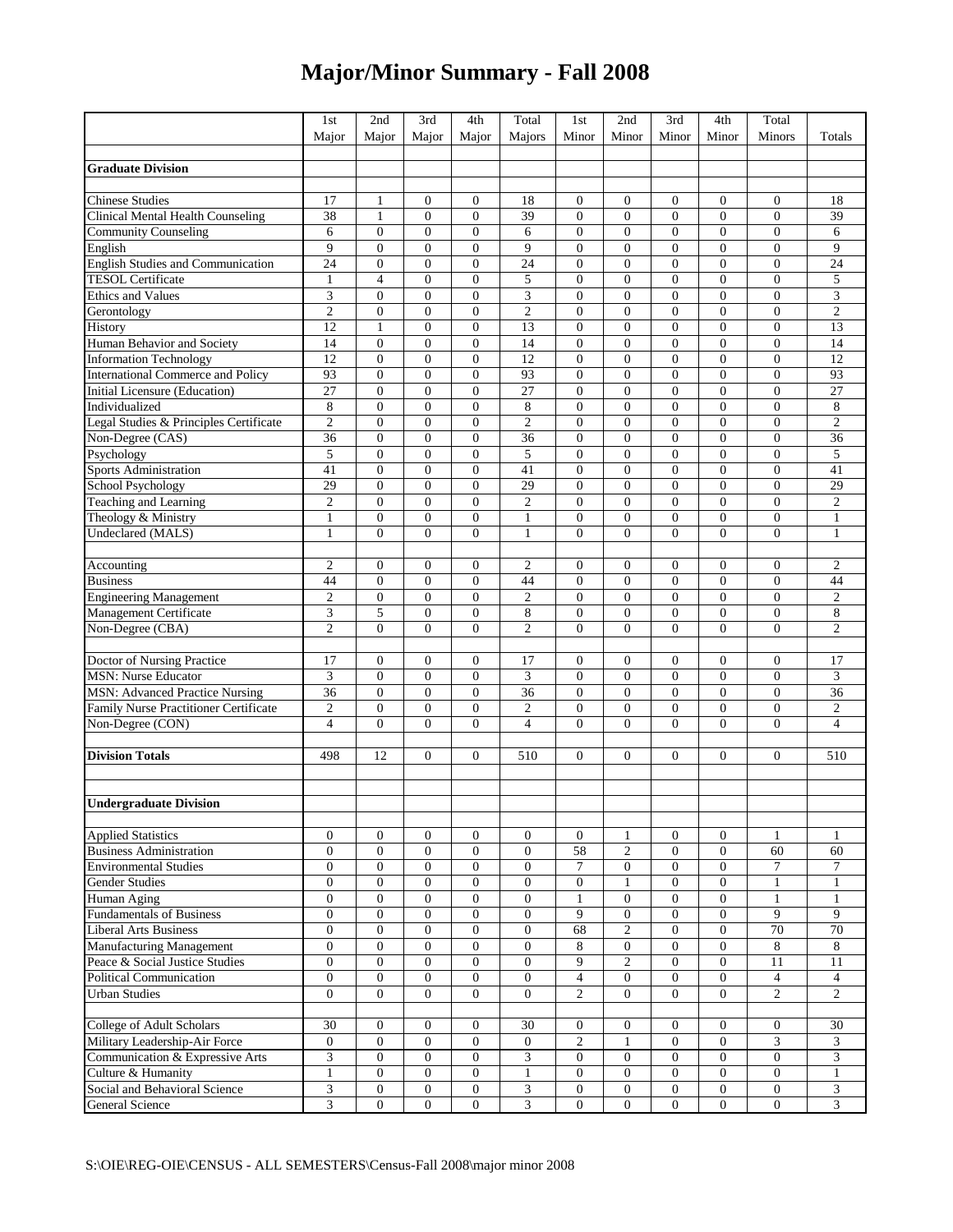## **Major/Minor Summary - Fall 2008**

| Major<br>Minor<br>Minor<br>Minor<br>Minor<br>Minors<br>Totals<br>Major<br>Major<br>Major<br>Majors<br><b>Graduate Division</b><br>17<br>18<br><b>Chinese Studies</b><br>1<br>$\boldsymbol{0}$<br>$\boldsymbol{0}$<br>18<br>$\mathbf{0}$<br>$\boldsymbol{0}$<br>$\boldsymbol{0}$<br>$\overline{0}$<br>$\boldsymbol{0}$<br>Clinical Mental Health Counseling<br>38<br>$\mathbf{1}$<br>$\mathbf{0}$<br>39<br>$\mathbf{0}$<br>$\overline{0}$<br>$\boldsymbol{0}$<br>39<br>$\overline{0}$<br>$\mathbf{0}$<br>$\mathbf{0}$<br>$\mathbf{0}$<br>$\mathbf{0}$<br>$\mathbf{0}$<br>$\overline{0}$<br>$\overline{0}$<br><b>Community Counseling</b><br>6<br>$\overline{0}$<br>6<br>$\overline{0}$<br>$\boldsymbol{0}$<br>6<br>9<br>9<br>9<br>$\overline{0}$<br>$\overline{0}$<br>$\mathbf{0}$<br>$\mathbf{0}$<br>$\mathbf{0}$<br>$\mathbf{0}$<br>$\overline{0}$<br>$\boldsymbol{0}$<br>English<br><b>English Studies and Communication</b><br>$\overline{0}$<br>24<br>24<br>$\boldsymbol{0}$<br>$\boldsymbol{0}$<br>$\mathbf{0}$<br>24<br>$\overline{0}$<br>$\boldsymbol{0}$<br>$\boldsymbol{0}$<br>$\boldsymbol{0}$<br><b>TESOL Certificate</b><br>$\overline{4}$<br>5<br>$\overline{0}$<br>5<br>$\mathbf{0}$<br>$\overline{0}$<br>$\mathbf{0}$<br>$\boldsymbol{0}$<br>$\boldsymbol{0}$<br>$\boldsymbol{0}$<br>$\mathbf{1}$<br>3<br><b>Ethics and Values</b><br>3<br>3<br>$\overline{0}$<br>$\mathbf{0}$<br>$\overline{0}$<br>$\mathbf{0}$<br>$\theta$<br>$\mathbf{0}$<br>$\mathbf{0}$<br>$\overline{0}$<br>$\overline{2}$<br>$\overline{c}$<br>$\overline{0}$<br>$\overline{c}$<br>$\boldsymbol{0}$<br>$\boldsymbol{0}$<br>$\overline{0}$<br>$\mathbf{0}$<br>$\boldsymbol{0}$<br>$\mathbf{0}$<br>$\boldsymbol{0}$<br>Gerontology<br>13<br>12<br>$\mathbf{1}$<br>$\mathbf{0}$<br>13<br>$\mathbf{0}$<br>$\mathbf{0}$<br>$\overline{0}$<br>$\boldsymbol{0}$<br>History<br>$\overline{0}$<br>$\boldsymbol{0}$<br>$\boldsymbol{0}$<br>$\boldsymbol{0}$<br>$\overline{0}$<br>$\mathbf{0}$<br>$\boldsymbol{0}$<br>$\overline{0}$<br>$\boldsymbol{0}$<br>14<br>Human Behavior and Society<br>14<br>14<br>$\overline{0}$<br>$\overline{12}$<br>12<br>$\boldsymbol{0}$<br>12<br>$\overline{0}$<br>$\boldsymbol{0}$<br>$\mathbf{0}$<br>$\mathbf{0}$<br>$\mathbf{0}$<br>$\boldsymbol{0}$<br>$\mathbf{0}$<br><b>Information Technology</b><br>93<br>International Commerce and Policy<br>93<br>$\boldsymbol{0}$<br>$\mathbf{0}$<br>93<br>$\boldsymbol{0}$<br>$\mathbf{0}$<br>$\overline{0}$<br>$\boldsymbol{0}$<br>$\overline{0}$<br>$\mathbf{0}$<br>Initial Licensure (Education)<br>27<br>$\mathbf{0}$<br>$\mathbf{0}$<br>$\overline{0}$<br>$\overline{0}$<br>27<br>$\overline{0}$<br>27<br>$\mathbf{0}$<br>$\overline{0}$<br>$\boldsymbol{0}$<br>8<br>8<br>$\overline{0}$<br>$\overline{0}$<br>$\mathbf{0}$<br>8<br>$\mathbf{0}$<br>$\overline{0}$<br>$\mathbf{0}$<br>$\overline{0}$<br>$\overline{0}$<br>Individualized<br>$\overline{2}$<br>Legal Studies & Principles Certificate<br>$\boldsymbol{0}$<br>$\boldsymbol{0}$<br>$\mathbf{0}$<br>$\overline{c}$<br>$\overline{0}$<br>$\boldsymbol{0}$<br>$\boldsymbol{0}$<br>$\overline{0}$<br>$\boldsymbol{0}$<br>$\overline{c}$<br>$\overline{0}$<br>Non-Degree (CAS)<br>36<br>$\boldsymbol{0}$<br>$\mathbf{0}$<br>$\overline{0}$<br>36<br>$\mathbf{0}$<br>$\boldsymbol{0}$<br>$\boldsymbol{0}$<br>$\boldsymbol{0}$<br>36<br>5<br>5<br>5<br>$\overline{0}$<br>$\theta$<br>Psychology<br>$\mathbf{0}$<br>$\overline{0}$<br>$\mathbf{0}$<br>$\Omega$<br>$\mathbf{0}$<br>$\overline{0}$<br>Sports Administration<br>41<br>$\boldsymbol{0}$<br>41<br>$\boldsymbol{0}$<br>$\overline{0}$<br>$\boldsymbol{0}$<br>$\overline{41}$<br>$\boldsymbol{0}$<br>$\overline{0}$<br>$\overline{0}$<br>$\boldsymbol{0}$<br>School Psychology<br>29<br>$\mathbf{0}$<br>$\mathbf{0}$<br>29<br>$\mathbf{0}$<br>$\mathbf{0}$<br>$\overline{0}$<br>$\boldsymbol{0}$<br>29<br>$\overline{0}$<br>$\mathbf{0}$<br>$\overline{2}$<br>$\overline{0}$<br>$\overline{0}$<br>$\overline{c}$<br>$\overline{0}$<br>$\overline{0}$<br>$\overline{0}$<br>$\overline{c}$<br>Teaching and Learning<br>$\mathbf{0}$<br>$\mathbf{0}$<br>$\mathbf{0}$<br>$\overline{0}$<br>Theology & Ministry<br>$\mathbf{1}$<br>$\boldsymbol{0}$<br>$\boldsymbol{0}$<br>$\boldsymbol{0}$<br>$\mathbf{1}$<br>$\mathbf{0}$<br>$\boldsymbol{0}$<br>$\boldsymbol{0}$<br>$\boldsymbol{0}$<br>$\mathbf{1}$<br><b>Undeclared (MALS)</b><br>$\mathbf{0}$<br>$\theta$<br>$\mathbf{0}$<br>$\theta$<br>$\overline{0}$<br>1<br>$\Omega$<br>$\mathbf{1}$<br>$\Omega$<br>$\mathbf{0}$<br>$\mathbf{1}$<br>$\mathbf{0}$<br>$\mathfrak{2}$<br>$\overline{c}$<br>$\overline{2}$<br>$\overline{0}$<br>$\mathbf{0}$<br>$\mathbf{0}$<br>$\boldsymbol{0}$<br>$\boldsymbol{0}$<br>$\overline{0}$<br>$\boldsymbol{0}$<br>Accounting<br>$\overline{0}$<br><b>Business</b><br>44<br>$\boldsymbol{0}$<br>$\boldsymbol{0}$<br>$\boldsymbol{0}$<br>44<br>$\overline{0}$<br>$\boldsymbol{0}$<br>$\boldsymbol{0}$<br>$\boldsymbol{0}$<br>44<br><b>Engineering Management</b><br>$\overline{2}$<br>$\boldsymbol{0}$<br>$\mathbf{0}$<br>$\overline{0}$<br>$\mathfrak{2}$<br>$\mathbf{0}$<br>$\boldsymbol{0}$<br>$\boldsymbol{0}$<br>$\overline{0}$<br>$\boldsymbol{0}$<br>$\overline{c}$<br>8<br>$\ensuremath{\mathfrak{Z}}$<br>5<br>$\,$ 8 $\,$<br>$\overline{0}$<br>Management Certificate<br>$\overline{0}$<br>$\mathbf{0}$<br>$\mathbf{0}$<br>$\overline{0}$<br>$\mathbf{0}$<br>$\overline{0}$<br>$\overline{2}$<br>$\overline{0}$<br>$\overline{0}$<br>$\overline{0}$<br>$\overline{c}$<br>Non-Degree (CBA)<br>$\overline{0}$<br>$\overline{0}$<br>$\overline{c}$<br>$\Omega$<br>$\overline{0}$<br>$\mathbf{0}$<br>$\boldsymbol{0}$<br>$\boldsymbol{0}$<br>17<br>$\overline{0}$<br>$\boldsymbol{0}$<br>17<br>Doctor of Nursing Practice<br>17<br>$\mathbf{0}$<br>$\mathbf{0}$<br>$\boldsymbol{0}$<br>$\boldsymbol{0}$<br>$\overline{\mathbf{3}}$<br>$\ensuremath{\mathfrak{Z}}$<br>$\boldsymbol{0}$<br>$\ensuremath{\mathfrak{Z}}$<br>$\boldsymbol{0}$<br>$\overline{0}$<br>$\boldsymbol{0}$<br><b>MSN: Nurse Educator</b><br>$\overline{0}$<br>$\overline{0}$<br>$\mathbf{0}$<br>$\boldsymbol{0}$<br><b>MSN: Advanced Practice Nursing</b><br>$\overline{36}$<br>36<br>$\boldsymbol{0}$<br>$\mathbf{0}$<br>36<br>$\mathbf{0}$<br>$\overline{0}$<br>$\boldsymbol{0}$<br>$\overline{0}$<br>$\overline{0}$<br>$\boldsymbol{0}$<br>$\boldsymbol{0}$<br>$\overline{0}$<br>$\boldsymbol{0}$<br>$\overline{0}$<br>Family Nurse Practitioner Certificate<br>$\overline{2}$<br>$\overline{0}$<br>$\overline{c}$<br>$\mathbf{0}$<br>$\overline{0}$<br>$\boldsymbol{0}$<br>$\overline{c}$<br>$\overline{0}$<br>$\overline{4}$<br>$\overline{0}$<br>$\overline{4}$<br>Non-Degree (CON)<br>$\overline{4}$<br>$\overline{0}$<br>$\mathbf{0}$<br>$\overline{0}$<br>$\mathbf{0}$<br>$\mathbf{0}$<br>$\overline{0}$<br><b>Division Totals</b><br>12<br>510<br>510<br>498<br>$\overline{0}$<br>$\mathbf{0}$<br>$\mathbf{0}$<br>$\boldsymbol{0}$<br>$\mathbf{0}$<br>$\overline{0}$<br>$\boldsymbol{0}$<br><b>Undergraduate Division</b><br><b>Applied Statistics</b><br>$\overline{0}$<br>$\overline{0}$<br>$\overline{0}$<br>$\mathbf{0}$<br>$\mathbf{0}$<br>$\mathbf{0}$<br>$\overline{0}$<br>1<br>$\overline{0}$<br>$\mathbf{1}$<br>1<br>$\overline{58}$<br><b>Business Administration</b><br>$\mathbf{0}$<br>$\mathfrak{2}$<br>$\mathbf{0}$<br>$\overline{0}$<br>60<br>60<br>$\overline{0}$<br>$\overline{0}$<br>$\mathbf{0}$<br>$\overline{0}$<br>$\mathbf{0}$<br>$\overline{0}$<br><b>Environmental Studies</b><br>$\mathbf{0}$<br>$\overline{0}$<br>$\mathbf{0}$<br>$\mathbf{0}$<br>7<br>$\mathbf{0}$<br>$\overline{0}$<br>7<br>7<br><b>Gender Studies</b><br>$\mathbf{0}$<br>$\mathbf{0}$<br>$\overline{0}$<br>$\overline{0}$<br>$\mathbf{0}$<br>$\mathbf{0}$<br>$\overline{0}$<br>$\mathbf{0}$<br>$\mathbf{1}$<br>$\mathbf{1}$<br>1<br>$\mathbf{0}$<br>$\boldsymbol{0}$<br>$\boldsymbol{0}$<br>$\overline{0}$<br>$\boldsymbol{0}$<br>$\mathbf{0}$<br>$\overline{0}$<br>$\mathbf{1}$<br>$\mathbf{1}$<br>Human Aging<br>$\mathbf{0}$<br>$\mathbf{1}$<br><b>Fundamentals of Business</b><br>$\mathbf{0}$<br>$\mathbf{0}$<br>$\mathbf{0}$<br>$\mathbf{0}$<br>$\boldsymbol{0}$<br>9<br>$\mathbf{0}$<br>$\mathbf{0}$<br>9<br>9<br>$\boldsymbol{0}$<br>$\Omega$<br>70<br>70<br><b>Liberal Arts Business</b><br>$\mathbf{0}$<br>$\mathbf{0}$<br>$\overline{0}$<br>$\theta$<br>$\overline{0}$<br>68<br>$\overline{2}$<br>$\Omega$<br>$\overline{0}$<br>8<br><b>Manufacturing Management</b><br>$\mathbf{0}$<br>$\overline{0}$<br>$\overline{0}$<br>$\overline{0}$<br>$\mathbf{0}$<br>8<br>$\mathbf{0}$<br>8<br>$\boldsymbol{0}$<br>Peace & Social Justice Studies<br>9<br>$\overline{0}$<br>$\mathbf{0}$<br>$\overline{0}$<br>$\mathbf{0}$<br>$\mathbf{0}$<br>$\mathbf{0}$<br>2<br>$\mathbf{0}$<br>11<br>11<br>$\overline{0}$<br><b>Political Communication</b><br>$\mathbf{0}$<br>$\overline{0}$<br>$\overline{0}$<br>$\mathbf{0}$<br>$\mathbf{0}$<br>$\overline{4}$<br>$\overline{0}$<br>$\mathbf{0}$<br>$\overline{4}$<br>$\overline{4}$<br>$\overline{c}$<br>$\Omega$<br>$\overline{2}$<br>$\overline{c}$<br>$\Omega$<br>$\overline{0}$<br>$\overline{0}$<br>$\overline{0}$<br>$\overline{0}$<br>$\overline{0}$<br>$\Omega$<br><b>Urban Studies</b><br>College of Adult Scholars<br>30<br>$\overline{0}$<br>30<br>$\overline{0}$<br>$\mathbf{0}$<br>30<br>$\overline{0}$<br>$\overline{0}$<br>$\overline{0}$<br>$\overline{0}$<br>$\overline{0}$<br>3<br>Military Leadership-Air Force<br>$\mathbf{0}$<br>$\overline{0}$<br>$\overline{0}$<br>$\mathbf{0}$<br>$\mathfrak{2}$<br>$\mathbf{0}$<br>$\mathbf{0}$<br>3<br>$\mathbf{0}$<br>1<br>Communication & Expressive Arts<br>3<br>$\mathbf{0}$<br>$\mathbf{0}$<br>$\overline{0}$<br>$\mathbf{0}$<br>$\mathbf{0}$<br>$\overline{0}$<br>$\boldsymbol{0}$<br>3<br>3<br>$\boldsymbol{0}$<br>Culture & Humanity<br>$\mathbf{0}$<br>$\overline{0}$<br>$\mathbf{0}$<br>$\mathbf{0}$<br>$\mathbf{0}$<br>$\mathbf{0}$<br>$\boldsymbol{0}$<br>$\mathbf{1}$<br>$\boldsymbol{0}$<br>$\mathbf{1}$<br>1 |                               | 1st | 2nd | 3rd | 4th | Total | 1st | 2nd | 3rd | 4th | Total |   |
|-------------------------------------------------------------------------------------------------------------------------------------------------------------------------------------------------------------------------------------------------------------------------------------------------------------------------------------------------------------------------------------------------------------------------------------------------------------------------------------------------------------------------------------------------------------------------------------------------------------------------------------------------------------------------------------------------------------------------------------------------------------------------------------------------------------------------------------------------------------------------------------------------------------------------------------------------------------------------------------------------------------------------------------------------------------------------------------------------------------------------------------------------------------------------------------------------------------------------------------------------------------------------------------------------------------------------------------------------------------------------------------------------------------------------------------------------------------------------------------------------------------------------------------------------------------------------------------------------------------------------------------------------------------------------------------------------------------------------------------------------------------------------------------------------------------------------------------------------------------------------------------------------------------------------------------------------------------------------------------------------------------------------------------------------------------------------------------------------------------------------------------------------------------------------------------------------------------------------------------------------------------------------------------------------------------------------------------------------------------------------------------------------------------------------------------------------------------------------------------------------------------------------------------------------------------------------------------------------------------------------------------------------------------------------------------------------------------------------------------------------------------------------------------------------------------------------------------------------------------------------------------------------------------------------------------------------------------------------------------------------------------------------------------------------------------------------------------------------------------------------------------------------------------------------------------------------------------------------------------------------------------------------------------------------------------------------------------------------------------------------------------------------------------------------------------------------------------------------------------------------------------------------------------------------------------------------------------------------------------------------------------------------------------------------------------------------------------------------------------------------------------------------------------------------------------------------------------------------------------------------------------------------------------------------------------------------------------------------------------------------------------------------------------------------------------------------------------------------------------------------------------------------------------------------------------------------------------------------------------------------------------------------------------------------------------------------------------------------------------------------------------------------------------------------------------------------------------------------------------------------------------------------------------------------------------------------------------------------------------------------------------------------------------------------------------------------------------------------------------------------------------------------------------------------------------------------------------------------------------------------------------------------------------------------------------------------------------------------------------------------------------------------------------------------------------------------------------------------------------------------------------------------------------------------------------------------------------------------------------------------------------------------------------------------------------------------------------------------------------------------------------------------------------------------------------------------------------------------------------------------------------------------------------------------------------------------------------------------------------------------------------------------------------------------------------------------------------------------------------------------------------------------------------------------------------------------------------------------------------------------------------------------------------------------------------------------------------------------------------------------------------------------------------------------------------------------------------------------------------------------------------------------------------------------------------------------------------------------------------------------------------------------------------------------------------------------------------------------------------------------------------------------------------------------------------------------------------------------------------------------------------------------------------------------------------------------------------------------------------------------------------------------------------------------------------------------------------------------------------------------------------------------------------------------------------------------------------------------------------------------------------------------------------------------------------------------------------------------------------------------------------------------------------------------------------------------------------------------------------------------------------------------------------------------------------------------------------------------------------------------------------------------------------------------------------------------------------------------------------------------------------------------------------------------------------------------------------------------------------------------------------------------------------------------------------------------------------------------------------------------------------------------------------------------------------------------------------------------------------------------------------------------------------------------------------------------------------------------------------------------------------------------------------------------------------------------------------------------------------------------------------------------------------------------------------------------------------------------------------------------------------------------------------------------------------------------------------------------------------------------------------------------------------------------------------------------------------------------------------------------------------------------------------------------------------------------------------------------------------------------------------------------------------------------------------------------------------------------------------------------------------------------------------------------------------------------------------------------------------------------------------------------------------------------------------------------------------------------------------------------------------------------------------------------------------------------------------------------------------------------------------------------------------------------------------------------------------------------------------------------------------------------------------------------------------------------------------------------------------------------------------------------------------------------------------------------------------------------------------------------------------------------------------------------------------------------------------------------------------------------------------------------------------------------------------------------------------------------------------------------------------------------------------------------------------------------------------------------------------------------------------------------------------------------------------------------------------------------------------------------------------------------------------------------------------------------------------------------------------------------------------------------------------------------------------------------|-------------------------------|-----|-----|-----|-----|-------|-----|-----|-----|-----|-------|---|
|                                                                                                                                                                                                                                                                                                                                                                                                                                                                                                                                                                                                                                                                                                                                                                                                                                                                                                                                                                                                                                                                                                                                                                                                                                                                                                                                                                                                                                                                                                                                                                                                                                                                                                                                                                                                                                                                                                                                                                                                                                                                                                                                                                                                                                                                                                                                                                                                                                                                                                                                                                                                                                                                                                                                                                                                                                                                                                                                                                                                                                                                                                                                                                                                                                                                                                                                                                                                                                                                                                                                                                                                                                                                                                                                                                                                                                                                                                                                                                                                                                                                                                                                                                                                                                                                                                                                                                                                                                                                                                                                                                                                                                                                                                                                                                                                                                                                                                                                                                                                                                                                                                                                                                                                                                                                                                                                                                                                                                                                                                                                                                                                                                                                                                                                                                                                                                                                                                                                                                                                                                                                                                                                                                                                                                                                                                                                                                                                                                                                                                                                                                                                                                                                                                                                                                                                                                                                                                                                                                                                                                                                                                                                                                                                                                                                                                                                                                                                                                                                                                                                                                                                                                                                                                                                                                                                                                                                                                                                                                                                                                                                                                                                                                                                                                                                                                                                                                                                                                                                                                                                                                                                                                                                                                                                                                                                                                                                                                                                                                                                                                                                                                                                                                                                                                                                                                                                                                                                                                                                                                                                                                                                                                                                                                                                                                                                                                                                                                                                                                                                                                                                         |                               |     |     |     |     |       |     |     |     |     |       |   |
|                                                                                                                                                                                                                                                                                                                                                                                                                                                                                                                                                                                                                                                                                                                                                                                                                                                                                                                                                                                                                                                                                                                                                                                                                                                                                                                                                                                                                                                                                                                                                                                                                                                                                                                                                                                                                                                                                                                                                                                                                                                                                                                                                                                                                                                                                                                                                                                                                                                                                                                                                                                                                                                                                                                                                                                                                                                                                                                                                                                                                                                                                                                                                                                                                                                                                                                                                                                                                                                                                                                                                                                                                                                                                                                                                                                                                                                                                                                                                                                                                                                                                                                                                                                                                                                                                                                                                                                                                                                                                                                                                                                                                                                                                                                                                                                                                                                                                                                                                                                                                                                                                                                                                                                                                                                                                                                                                                                                                                                                                                                                                                                                                                                                                                                                                                                                                                                                                                                                                                                                                                                                                                                                                                                                                                                                                                                                                                                                                                                                                                                                                                                                                                                                                                                                                                                                                                                                                                                                                                                                                                                                                                                                                                                                                                                                                                                                                                                                                                                                                                                                                                                                                                                                                                                                                                                                                                                                                                                                                                                                                                                                                                                                                                                                                                                                                                                                                                                                                                                                                                                                                                                                                                                                                                                                                                                                                                                                                                                                                                                                                                                                                                                                                                                                                                                                                                                                                                                                                                                                                                                                                                                                                                                                                                                                                                                                                                                                                                                                                                                                                                                                         |                               |     |     |     |     |       |     |     |     |     |       |   |
|                                                                                                                                                                                                                                                                                                                                                                                                                                                                                                                                                                                                                                                                                                                                                                                                                                                                                                                                                                                                                                                                                                                                                                                                                                                                                                                                                                                                                                                                                                                                                                                                                                                                                                                                                                                                                                                                                                                                                                                                                                                                                                                                                                                                                                                                                                                                                                                                                                                                                                                                                                                                                                                                                                                                                                                                                                                                                                                                                                                                                                                                                                                                                                                                                                                                                                                                                                                                                                                                                                                                                                                                                                                                                                                                                                                                                                                                                                                                                                                                                                                                                                                                                                                                                                                                                                                                                                                                                                                                                                                                                                                                                                                                                                                                                                                                                                                                                                                                                                                                                                                                                                                                                                                                                                                                                                                                                                                                                                                                                                                                                                                                                                                                                                                                                                                                                                                                                                                                                                                                                                                                                                                                                                                                                                                                                                                                                                                                                                                                                                                                                                                                                                                                                                                                                                                                                                                                                                                                                                                                                                                                                                                                                                                                                                                                                                                                                                                                                                                                                                                                                                                                                                                                                                                                                                                                                                                                                                                                                                                                                                                                                                                                                                                                                                                                                                                                                                                                                                                                                                                                                                                                                                                                                                                                                                                                                                                                                                                                                                                                                                                                                                                                                                                                                                                                                                                                                                                                                                                                                                                                                                                                                                                                                                                                                                                                                                                                                                                                                                                                                                                                         |                               |     |     |     |     |       |     |     |     |     |       |   |
|                                                                                                                                                                                                                                                                                                                                                                                                                                                                                                                                                                                                                                                                                                                                                                                                                                                                                                                                                                                                                                                                                                                                                                                                                                                                                                                                                                                                                                                                                                                                                                                                                                                                                                                                                                                                                                                                                                                                                                                                                                                                                                                                                                                                                                                                                                                                                                                                                                                                                                                                                                                                                                                                                                                                                                                                                                                                                                                                                                                                                                                                                                                                                                                                                                                                                                                                                                                                                                                                                                                                                                                                                                                                                                                                                                                                                                                                                                                                                                                                                                                                                                                                                                                                                                                                                                                                                                                                                                                                                                                                                                                                                                                                                                                                                                                                                                                                                                                                                                                                                                                                                                                                                                                                                                                                                                                                                                                                                                                                                                                                                                                                                                                                                                                                                                                                                                                                                                                                                                                                                                                                                                                                                                                                                                                                                                                                                                                                                                                                                                                                                                                                                                                                                                                                                                                                                                                                                                                                                                                                                                                                                                                                                                                                                                                                                                                                                                                                                                                                                                                                                                                                                                                                                                                                                                                                                                                                                                                                                                                                                                                                                                                                                                                                                                                                                                                                                                                                                                                                                                                                                                                                                                                                                                                                                                                                                                                                                                                                                                                                                                                                                                                                                                                                                                                                                                                                                                                                                                                                                                                                                                                                                                                                                                                                                                                                                                                                                                                                                                                                                                                                         |                               |     |     |     |     |       |     |     |     |     |       |   |
|                                                                                                                                                                                                                                                                                                                                                                                                                                                                                                                                                                                                                                                                                                                                                                                                                                                                                                                                                                                                                                                                                                                                                                                                                                                                                                                                                                                                                                                                                                                                                                                                                                                                                                                                                                                                                                                                                                                                                                                                                                                                                                                                                                                                                                                                                                                                                                                                                                                                                                                                                                                                                                                                                                                                                                                                                                                                                                                                                                                                                                                                                                                                                                                                                                                                                                                                                                                                                                                                                                                                                                                                                                                                                                                                                                                                                                                                                                                                                                                                                                                                                                                                                                                                                                                                                                                                                                                                                                                                                                                                                                                                                                                                                                                                                                                                                                                                                                                                                                                                                                                                                                                                                                                                                                                                                                                                                                                                                                                                                                                                                                                                                                                                                                                                                                                                                                                                                                                                                                                                                                                                                                                                                                                                                                                                                                                                                                                                                                                                                                                                                                                                                                                                                                                                                                                                                                                                                                                                                                                                                                                                                                                                                                                                                                                                                                                                                                                                                                                                                                                                                                                                                                                                                                                                                                                                                                                                                                                                                                                                                                                                                                                                                                                                                                                                                                                                                                                                                                                                                                                                                                                                                                                                                                                                                                                                                                                                                                                                                                                                                                                                                                                                                                                                                                                                                                                                                                                                                                                                                                                                                                                                                                                                                                                                                                                                                                                                                                                                                                                                                                                                         |                               |     |     |     |     |       |     |     |     |     |       |   |
|                                                                                                                                                                                                                                                                                                                                                                                                                                                                                                                                                                                                                                                                                                                                                                                                                                                                                                                                                                                                                                                                                                                                                                                                                                                                                                                                                                                                                                                                                                                                                                                                                                                                                                                                                                                                                                                                                                                                                                                                                                                                                                                                                                                                                                                                                                                                                                                                                                                                                                                                                                                                                                                                                                                                                                                                                                                                                                                                                                                                                                                                                                                                                                                                                                                                                                                                                                                                                                                                                                                                                                                                                                                                                                                                                                                                                                                                                                                                                                                                                                                                                                                                                                                                                                                                                                                                                                                                                                                                                                                                                                                                                                                                                                                                                                                                                                                                                                                                                                                                                                                                                                                                                                                                                                                                                                                                                                                                                                                                                                                                                                                                                                                                                                                                                                                                                                                                                                                                                                                                                                                                                                                                                                                                                                                                                                                                                                                                                                                                                                                                                                                                                                                                                                                                                                                                                                                                                                                                                                                                                                                                                                                                                                                                                                                                                                                                                                                                                                                                                                                                                                                                                                                                                                                                                                                                                                                                                                                                                                                                                                                                                                                                                                                                                                                                                                                                                                                                                                                                                                                                                                                                                                                                                                                                                                                                                                                                                                                                                                                                                                                                                                                                                                                                                                                                                                                                                                                                                                                                                                                                                                                                                                                                                                                                                                                                                                                                                                                                                                                                                                                                         |                               |     |     |     |     |       |     |     |     |     |       |   |
|                                                                                                                                                                                                                                                                                                                                                                                                                                                                                                                                                                                                                                                                                                                                                                                                                                                                                                                                                                                                                                                                                                                                                                                                                                                                                                                                                                                                                                                                                                                                                                                                                                                                                                                                                                                                                                                                                                                                                                                                                                                                                                                                                                                                                                                                                                                                                                                                                                                                                                                                                                                                                                                                                                                                                                                                                                                                                                                                                                                                                                                                                                                                                                                                                                                                                                                                                                                                                                                                                                                                                                                                                                                                                                                                                                                                                                                                                                                                                                                                                                                                                                                                                                                                                                                                                                                                                                                                                                                                                                                                                                                                                                                                                                                                                                                                                                                                                                                                                                                                                                                                                                                                                                                                                                                                                                                                                                                                                                                                                                                                                                                                                                                                                                                                                                                                                                                                                                                                                                                                                                                                                                                                                                                                                                                                                                                                                                                                                                                                                                                                                                                                                                                                                                                                                                                                                                                                                                                                                                                                                                                                                                                                                                                                                                                                                                                                                                                                                                                                                                                                                                                                                                                                                                                                                                                                                                                                                                                                                                                                                                                                                                                                                                                                                                                                                                                                                                                                                                                                                                                                                                                                                                                                                                                                                                                                                                                                                                                                                                                                                                                                                                                                                                                                                                                                                                                                                                                                                                                                                                                                                                                                                                                                                                                                                                                                                                                                                                                                                                                                                                                                         |                               |     |     |     |     |       |     |     |     |     |       |   |
|                                                                                                                                                                                                                                                                                                                                                                                                                                                                                                                                                                                                                                                                                                                                                                                                                                                                                                                                                                                                                                                                                                                                                                                                                                                                                                                                                                                                                                                                                                                                                                                                                                                                                                                                                                                                                                                                                                                                                                                                                                                                                                                                                                                                                                                                                                                                                                                                                                                                                                                                                                                                                                                                                                                                                                                                                                                                                                                                                                                                                                                                                                                                                                                                                                                                                                                                                                                                                                                                                                                                                                                                                                                                                                                                                                                                                                                                                                                                                                                                                                                                                                                                                                                                                                                                                                                                                                                                                                                                                                                                                                                                                                                                                                                                                                                                                                                                                                                                                                                                                                                                                                                                                                                                                                                                                                                                                                                                                                                                                                                                                                                                                                                                                                                                                                                                                                                                                                                                                                                                                                                                                                                                                                                                                                                                                                                                                                                                                                                                                                                                                                                                                                                                                                                                                                                                                                                                                                                                                                                                                                                                                                                                                                                                                                                                                                                                                                                                                                                                                                                                                                                                                                                                                                                                                                                                                                                                                                                                                                                                                                                                                                                                                                                                                                                                                                                                                                                                                                                                                                                                                                                                                                                                                                                                                                                                                                                                                                                                                                                                                                                                                                                                                                                                                                                                                                                                                                                                                                                                                                                                                                                                                                                                                                                                                                                                                                                                                                                                                                                                                                                                         |                               |     |     |     |     |       |     |     |     |     |       |   |
|                                                                                                                                                                                                                                                                                                                                                                                                                                                                                                                                                                                                                                                                                                                                                                                                                                                                                                                                                                                                                                                                                                                                                                                                                                                                                                                                                                                                                                                                                                                                                                                                                                                                                                                                                                                                                                                                                                                                                                                                                                                                                                                                                                                                                                                                                                                                                                                                                                                                                                                                                                                                                                                                                                                                                                                                                                                                                                                                                                                                                                                                                                                                                                                                                                                                                                                                                                                                                                                                                                                                                                                                                                                                                                                                                                                                                                                                                                                                                                                                                                                                                                                                                                                                                                                                                                                                                                                                                                                                                                                                                                                                                                                                                                                                                                                                                                                                                                                                                                                                                                                                                                                                                                                                                                                                                                                                                                                                                                                                                                                                                                                                                                                                                                                                                                                                                                                                                                                                                                                                                                                                                                                                                                                                                                                                                                                                                                                                                                                                                                                                                                                                                                                                                                                                                                                                                                                                                                                                                                                                                                                                                                                                                                                                                                                                                                                                                                                                                                                                                                                                                                                                                                                                                                                                                                                                                                                                                                                                                                                                                                                                                                                                                                                                                                                                                                                                                                                                                                                                                                                                                                                                                                                                                                                                                                                                                                                                                                                                                                                                                                                                                                                                                                                                                                                                                                                                                                                                                                                                                                                                                                                                                                                                                                                                                                                                                                                                                                                                                                                                                                                                         |                               |     |     |     |     |       |     |     |     |     |       |   |
|                                                                                                                                                                                                                                                                                                                                                                                                                                                                                                                                                                                                                                                                                                                                                                                                                                                                                                                                                                                                                                                                                                                                                                                                                                                                                                                                                                                                                                                                                                                                                                                                                                                                                                                                                                                                                                                                                                                                                                                                                                                                                                                                                                                                                                                                                                                                                                                                                                                                                                                                                                                                                                                                                                                                                                                                                                                                                                                                                                                                                                                                                                                                                                                                                                                                                                                                                                                                                                                                                                                                                                                                                                                                                                                                                                                                                                                                                                                                                                                                                                                                                                                                                                                                                                                                                                                                                                                                                                                                                                                                                                                                                                                                                                                                                                                                                                                                                                                                                                                                                                                                                                                                                                                                                                                                                                                                                                                                                                                                                                                                                                                                                                                                                                                                                                                                                                                                                                                                                                                                                                                                                                                                                                                                                                                                                                                                                                                                                                                                                                                                                                                                                                                                                                                                                                                                                                                                                                                                                                                                                                                                                                                                                                                                                                                                                                                                                                                                                                                                                                                                                                                                                                                                                                                                                                                                                                                                                                                                                                                                                                                                                                                                                                                                                                                                                                                                                                                                                                                                                                                                                                                                                                                                                                                                                                                                                                                                                                                                                                                                                                                                                                                                                                                                                                                                                                                                                                                                                                                                                                                                                                                                                                                                                                                                                                                                                                                                                                                                                                                                                                                                         |                               |     |     |     |     |       |     |     |     |     |       |   |
|                                                                                                                                                                                                                                                                                                                                                                                                                                                                                                                                                                                                                                                                                                                                                                                                                                                                                                                                                                                                                                                                                                                                                                                                                                                                                                                                                                                                                                                                                                                                                                                                                                                                                                                                                                                                                                                                                                                                                                                                                                                                                                                                                                                                                                                                                                                                                                                                                                                                                                                                                                                                                                                                                                                                                                                                                                                                                                                                                                                                                                                                                                                                                                                                                                                                                                                                                                                                                                                                                                                                                                                                                                                                                                                                                                                                                                                                                                                                                                                                                                                                                                                                                                                                                                                                                                                                                                                                                                                                                                                                                                                                                                                                                                                                                                                                                                                                                                                                                                                                                                                                                                                                                                                                                                                                                                                                                                                                                                                                                                                                                                                                                                                                                                                                                                                                                                                                                                                                                                                                                                                                                                                                                                                                                                                                                                                                                                                                                                                                                                                                                                                                                                                                                                                                                                                                                                                                                                                                                                                                                                                                                                                                                                                                                                                                                                                                                                                                                                                                                                                                                                                                                                                                                                                                                                                                                                                                                                                                                                                                                                                                                                                                                                                                                                                                                                                                                                                                                                                                                                                                                                                                                                                                                                                                                                                                                                                                                                                                                                                                                                                                                                                                                                                                                                                                                                                                                                                                                                                                                                                                                                                                                                                                                                                                                                                                                                                                                                                                                                                                                                                                         |                               |     |     |     |     |       |     |     |     |     |       |   |
|                                                                                                                                                                                                                                                                                                                                                                                                                                                                                                                                                                                                                                                                                                                                                                                                                                                                                                                                                                                                                                                                                                                                                                                                                                                                                                                                                                                                                                                                                                                                                                                                                                                                                                                                                                                                                                                                                                                                                                                                                                                                                                                                                                                                                                                                                                                                                                                                                                                                                                                                                                                                                                                                                                                                                                                                                                                                                                                                                                                                                                                                                                                                                                                                                                                                                                                                                                                                                                                                                                                                                                                                                                                                                                                                                                                                                                                                                                                                                                                                                                                                                                                                                                                                                                                                                                                                                                                                                                                                                                                                                                                                                                                                                                                                                                                                                                                                                                                                                                                                                                                                                                                                                                                                                                                                                                                                                                                                                                                                                                                                                                                                                                                                                                                                                                                                                                                                                                                                                                                                                                                                                                                                                                                                                                                                                                                                                                                                                                                                                                                                                                                                                                                                                                                                                                                                                                                                                                                                                                                                                                                                                                                                                                                                                                                                                                                                                                                                                                                                                                                                                                                                                                                                                                                                                                                                                                                                                                                                                                                                                                                                                                                                                                                                                                                                                                                                                                                                                                                                                                                                                                                                                                                                                                                                                                                                                                                                                                                                                                                                                                                                                                                                                                                                                                                                                                                                                                                                                                                                                                                                                                                                                                                                                                                                                                                                                                                                                                                                                                                                                                                                         |                               |     |     |     |     |       |     |     |     |     |       |   |
|                                                                                                                                                                                                                                                                                                                                                                                                                                                                                                                                                                                                                                                                                                                                                                                                                                                                                                                                                                                                                                                                                                                                                                                                                                                                                                                                                                                                                                                                                                                                                                                                                                                                                                                                                                                                                                                                                                                                                                                                                                                                                                                                                                                                                                                                                                                                                                                                                                                                                                                                                                                                                                                                                                                                                                                                                                                                                                                                                                                                                                                                                                                                                                                                                                                                                                                                                                                                                                                                                                                                                                                                                                                                                                                                                                                                                                                                                                                                                                                                                                                                                                                                                                                                                                                                                                                                                                                                                                                                                                                                                                                                                                                                                                                                                                                                                                                                                                                                                                                                                                                                                                                                                                                                                                                                                                                                                                                                                                                                                                                                                                                                                                                                                                                                                                                                                                                                                                                                                                                                                                                                                                                                                                                                                                                                                                                                                                                                                                                                                                                                                                                                                                                                                                                                                                                                                                                                                                                                                                                                                                                                                                                                                                                                                                                                                                                                                                                                                                                                                                                                                                                                                                                                                                                                                                                                                                                                                                                                                                                                                                                                                                                                                                                                                                                                                                                                                                                                                                                                                                                                                                                                                                                                                                                                                                                                                                                                                                                                                                                                                                                                                                                                                                                                                                                                                                                                                                                                                                                                                                                                                                                                                                                                                                                                                                                                                                                                                                                                                                                                                                                                         |                               |     |     |     |     |       |     |     |     |     |       |   |
|                                                                                                                                                                                                                                                                                                                                                                                                                                                                                                                                                                                                                                                                                                                                                                                                                                                                                                                                                                                                                                                                                                                                                                                                                                                                                                                                                                                                                                                                                                                                                                                                                                                                                                                                                                                                                                                                                                                                                                                                                                                                                                                                                                                                                                                                                                                                                                                                                                                                                                                                                                                                                                                                                                                                                                                                                                                                                                                                                                                                                                                                                                                                                                                                                                                                                                                                                                                                                                                                                                                                                                                                                                                                                                                                                                                                                                                                                                                                                                                                                                                                                                                                                                                                                                                                                                                                                                                                                                                                                                                                                                                                                                                                                                                                                                                                                                                                                                                                                                                                                                                                                                                                                                                                                                                                                                                                                                                                                                                                                                                                                                                                                                                                                                                                                                                                                                                                                                                                                                                                                                                                                                                                                                                                                                                                                                                                                                                                                                                                                                                                                                                                                                                                                                                                                                                                                                                                                                                                                                                                                                                                                                                                                                                                                                                                                                                                                                                                                                                                                                                                                                                                                                                                                                                                                                                                                                                                                                                                                                                                                                                                                                                                                                                                                                                                                                                                                                                                                                                                                                                                                                                                                                                                                                                                                                                                                                                                                                                                                                                                                                                                                                                                                                                                                                                                                                                                                                                                                                                                                                                                                                                                                                                                                                                                                                                                                                                                                                                                                                                                                                                                         |                               |     |     |     |     |       |     |     |     |     |       |   |
|                                                                                                                                                                                                                                                                                                                                                                                                                                                                                                                                                                                                                                                                                                                                                                                                                                                                                                                                                                                                                                                                                                                                                                                                                                                                                                                                                                                                                                                                                                                                                                                                                                                                                                                                                                                                                                                                                                                                                                                                                                                                                                                                                                                                                                                                                                                                                                                                                                                                                                                                                                                                                                                                                                                                                                                                                                                                                                                                                                                                                                                                                                                                                                                                                                                                                                                                                                                                                                                                                                                                                                                                                                                                                                                                                                                                                                                                                                                                                                                                                                                                                                                                                                                                                                                                                                                                                                                                                                                                                                                                                                                                                                                                                                                                                                                                                                                                                                                                                                                                                                                                                                                                                                                                                                                                                                                                                                                                                                                                                                                                                                                                                                                                                                                                                                                                                                                                                                                                                                                                                                                                                                                                                                                                                                                                                                                                                                                                                                                                                                                                                                                                                                                                                                                                                                                                                                                                                                                                                                                                                                                                                                                                                                                                                                                                                                                                                                                                                                                                                                                                                                                                                                                                                                                                                                                                                                                                                                                                                                                                                                                                                                                                                                                                                                                                                                                                                                                                                                                                                                                                                                                                                                                                                                                                                                                                                                                                                                                                                                                                                                                                                                                                                                                                                                                                                                                                                                                                                                                                                                                                                                                                                                                                                                                                                                                                                                                                                                                                                                                                                                                                         |                               |     |     |     |     |       |     |     |     |     |       |   |
|                                                                                                                                                                                                                                                                                                                                                                                                                                                                                                                                                                                                                                                                                                                                                                                                                                                                                                                                                                                                                                                                                                                                                                                                                                                                                                                                                                                                                                                                                                                                                                                                                                                                                                                                                                                                                                                                                                                                                                                                                                                                                                                                                                                                                                                                                                                                                                                                                                                                                                                                                                                                                                                                                                                                                                                                                                                                                                                                                                                                                                                                                                                                                                                                                                                                                                                                                                                                                                                                                                                                                                                                                                                                                                                                                                                                                                                                                                                                                                                                                                                                                                                                                                                                                                                                                                                                                                                                                                                                                                                                                                                                                                                                                                                                                                                                                                                                                                                                                                                                                                                                                                                                                                                                                                                                                                                                                                                                                                                                                                                                                                                                                                                                                                                                                                                                                                                                                                                                                                                                                                                                                                                                                                                                                                                                                                                                                                                                                                                                                                                                                                                                                                                                                                                                                                                                                                                                                                                                                                                                                                                                                                                                                                                                                                                                                                                                                                                                                                                                                                                                                                                                                                                                                                                                                                                                                                                                                                                                                                                                                                                                                                                                                                                                                                                                                                                                                                                                                                                                                                                                                                                                                                                                                                                                                                                                                                                                                                                                                                                                                                                                                                                                                                                                                                                                                                                                                                                                                                                                                                                                                                                                                                                                                                                                                                                                                                                                                                                                                                                                                                                                         |                               |     |     |     |     |       |     |     |     |     |       |   |
|                                                                                                                                                                                                                                                                                                                                                                                                                                                                                                                                                                                                                                                                                                                                                                                                                                                                                                                                                                                                                                                                                                                                                                                                                                                                                                                                                                                                                                                                                                                                                                                                                                                                                                                                                                                                                                                                                                                                                                                                                                                                                                                                                                                                                                                                                                                                                                                                                                                                                                                                                                                                                                                                                                                                                                                                                                                                                                                                                                                                                                                                                                                                                                                                                                                                                                                                                                                                                                                                                                                                                                                                                                                                                                                                                                                                                                                                                                                                                                                                                                                                                                                                                                                                                                                                                                                                                                                                                                                                                                                                                                                                                                                                                                                                                                                                                                                                                                                                                                                                                                                                                                                                                                                                                                                                                                                                                                                                                                                                                                                                                                                                                                                                                                                                                                                                                                                                                                                                                                                                                                                                                                                                                                                                                                                                                                                                                                                                                                                                                                                                                                                                                                                                                                                                                                                                                                                                                                                                                                                                                                                                                                                                                                                                                                                                                                                                                                                                                                                                                                                                                                                                                                                                                                                                                                                                                                                                                                                                                                                                                                                                                                                                                                                                                                                                                                                                                                                                                                                                                                                                                                                                                                                                                                                                                                                                                                                                                                                                                                                                                                                                                                                                                                                                                                                                                                                                                                                                                                                                                                                                                                                                                                                                                                                                                                                                                                                                                                                                                                                                                                                                         |                               |     |     |     |     |       |     |     |     |     |       |   |
|                                                                                                                                                                                                                                                                                                                                                                                                                                                                                                                                                                                                                                                                                                                                                                                                                                                                                                                                                                                                                                                                                                                                                                                                                                                                                                                                                                                                                                                                                                                                                                                                                                                                                                                                                                                                                                                                                                                                                                                                                                                                                                                                                                                                                                                                                                                                                                                                                                                                                                                                                                                                                                                                                                                                                                                                                                                                                                                                                                                                                                                                                                                                                                                                                                                                                                                                                                                                                                                                                                                                                                                                                                                                                                                                                                                                                                                                                                                                                                                                                                                                                                                                                                                                                                                                                                                                                                                                                                                                                                                                                                                                                                                                                                                                                                                                                                                                                                                                                                                                                                                                                                                                                                                                                                                                                                                                                                                                                                                                                                                                                                                                                                                                                                                                                                                                                                                                                                                                                                                                                                                                                                                                                                                                                                                                                                                                                                                                                                                                                                                                                                                                                                                                                                                                                                                                                                                                                                                                                                                                                                                                                                                                                                                                                                                                                                                                                                                                                                                                                                                                                                                                                                                                                                                                                                                                                                                                                                                                                                                                                                                                                                                                                                                                                                                                                                                                                                                                                                                                                                                                                                                                                                                                                                                                                                                                                                                                                                                                                                                                                                                                                                                                                                                                                                                                                                                                                                                                                                                                                                                                                                                                                                                                                                                                                                                                                                                                                                                                                                                                                                                                         |                               |     |     |     |     |       |     |     |     |     |       |   |
|                                                                                                                                                                                                                                                                                                                                                                                                                                                                                                                                                                                                                                                                                                                                                                                                                                                                                                                                                                                                                                                                                                                                                                                                                                                                                                                                                                                                                                                                                                                                                                                                                                                                                                                                                                                                                                                                                                                                                                                                                                                                                                                                                                                                                                                                                                                                                                                                                                                                                                                                                                                                                                                                                                                                                                                                                                                                                                                                                                                                                                                                                                                                                                                                                                                                                                                                                                                                                                                                                                                                                                                                                                                                                                                                                                                                                                                                                                                                                                                                                                                                                                                                                                                                                                                                                                                                                                                                                                                                                                                                                                                                                                                                                                                                                                                                                                                                                                                                                                                                                                                                                                                                                                                                                                                                                                                                                                                                                                                                                                                                                                                                                                                                                                                                                                                                                                                                                                                                                                                                                                                                                                                                                                                                                                                                                                                                                                                                                                                                                                                                                                                                                                                                                                                                                                                                                                                                                                                                                                                                                                                                                                                                                                                                                                                                                                                                                                                                                                                                                                                                                                                                                                                                                                                                                                                                                                                                                                                                                                                                                                                                                                                                                                                                                                                                                                                                                                                                                                                                                                                                                                                                                                                                                                                                                                                                                                                                                                                                                                                                                                                                                                                                                                                                                                                                                                                                                                                                                                                                                                                                                                                                                                                                                                                                                                                                                                                                                                                                                                                                                                                                         |                               |     |     |     |     |       |     |     |     |     |       |   |
|                                                                                                                                                                                                                                                                                                                                                                                                                                                                                                                                                                                                                                                                                                                                                                                                                                                                                                                                                                                                                                                                                                                                                                                                                                                                                                                                                                                                                                                                                                                                                                                                                                                                                                                                                                                                                                                                                                                                                                                                                                                                                                                                                                                                                                                                                                                                                                                                                                                                                                                                                                                                                                                                                                                                                                                                                                                                                                                                                                                                                                                                                                                                                                                                                                                                                                                                                                                                                                                                                                                                                                                                                                                                                                                                                                                                                                                                                                                                                                                                                                                                                                                                                                                                                                                                                                                                                                                                                                                                                                                                                                                                                                                                                                                                                                                                                                                                                                                                                                                                                                                                                                                                                                                                                                                                                                                                                                                                                                                                                                                                                                                                                                                                                                                                                                                                                                                                                                                                                                                                                                                                                                                                                                                                                                                                                                                                                                                                                                                                                                                                                                                                                                                                                                                                                                                                                                                                                                                                                                                                                                                                                                                                                                                                                                                                                                                                                                                                                                                                                                                                                                                                                                                                                                                                                                                                                                                                                                                                                                                                                                                                                                                                                                                                                                                                                                                                                                                                                                                                                                                                                                                                                                                                                                                                                                                                                                                                                                                                                                                                                                                                                                                                                                                                                                                                                                                                                                                                                                                                                                                                                                                                                                                                                                                                                                                                                                                                                                                                                                                                                                                                         |                               |     |     |     |     |       |     |     |     |     |       |   |
|                                                                                                                                                                                                                                                                                                                                                                                                                                                                                                                                                                                                                                                                                                                                                                                                                                                                                                                                                                                                                                                                                                                                                                                                                                                                                                                                                                                                                                                                                                                                                                                                                                                                                                                                                                                                                                                                                                                                                                                                                                                                                                                                                                                                                                                                                                                                                                                                                                                                                                                                                                                                                                                                                                                                                                                                                                                                                                                                                                                                                                                                                                                                                                                                                                                                                                                                                                                                                                                                                                                                                                                                                                                                                                                                                                                                                                                                                                                                                                                                                                                                                                                                                                                                                                                                                                                                                                                                                                                                                                                                                                                                                                                                                                                                                                                                                                                                                                                                                                                                                                                                                                                                                                                                                                                                                                                                                                                                                                                                                                                                                                                                                                                                                                                                                                                                                                                                                                                                                                                                                                                                                                                                                                                                                                                                                                                                                                                                                                                                                                                                                                                                                                                                                                                                                                                                                                                                                                                                                                                                                                                                                                                                                                                                                                                                                                                                                                                                                                                                                                                                                                                                                                                                                                                                                                                                                                                                                                                                                                                                                                                                                                                                                                                                                                                                                                                                                                                                                                                                                                                                                                                                                                                                                                                                                                                                                                                                                                                                                                                                                                                                                                                                                                                                                                                                                                                                                                                                                                                                                                                                                                                                                                                                                                                                                                                                                                                                                                                                                                                                                                                                         |                               |     |     |     |     |       |     |     |     |     |       |   |
|                                                                                                                                                                                                                                                                                                                                                                                                                                                                                                                                                                                                                                                                                                                                                                                                                                                                                                                                                                                                                                                                                                                                                                                                                                                                                                                                                                                                                                                                                                                                                                                                                                                                                                                                                                                                                                                                                                                                                                                                                                                                                                                                                                                                                                                                                                                                                                                                                                                                                                                                                                                                                                                                                                                                                                                                                                                                                                                                                                                                                                                                                                                                                                                                                                                                                                                                                                                                                                                                                                                                                                                                                                                                                                                                                                                                                                                                                                                                                                                                                                                                                                                                                                                                                                                                                                                                                                                                                                                                                                                                                                                                                                                                                                                                                                                                                                                                                                                                                                                                                                                                                                                                                                                                                                                                                                                                                                                                                                                                                                                                                                                                                                                                                                                                                                                                                                                                                                                                                                                                                                                                                                                                                                                                                                                                                                                                                                                                                                                                                                                                                                                                                                                                                                                                                                                                                                                                                                                                                                                                                                                                                                                                                                                                                                                                                                                                                                                                                                                                                                                                                                                                                                                                                                                                                                                                                                                                                                                                                                                                                                                                                                                                                                                                                                                                                                                                                                                                                                                                                                                                                                                                                                                                                                                                                                                                                                                                                                                                                                                                                                                                                                                                                                                                                                                                                                                                                                                                                                                                                                                                                                                                                                                                                                                                                                                                                                                                                                                                                                                                                                                                         |                               |     |     |     |     |       |     |     |     |     |       |   |
|                                                                                                                                                                                                                                                                                                                                                                                                                                                                                                                                                                                                                                                                                                                                                                                                                                                                                                                                                                                                                                                                                                                                                                                                                                                                                                                                                                                                                                                                                                                                                                                                                                                                                                                                                                                                                                                                                                                                                                                                                                                                                                                                                                                                                                                                                                                                                                                                                                                                                                                                                                                                                                                                                                                                                                                                                                                                                                                                                                                                                                                                                                                                                                                                                                                                                                                                                                                                                                                                                                                                                                                                                                                                                                                                                                                                                                                                                                                                                                                                                                                                                                                                                                                                                                                                                                                                                                                                                                                                                                                                                                                                                                                                                                                                                                                                                                                                                                                                                                                                                                                                                                                                                                                                                                                                                                                                                                                                                                                                                                                                                                                                                                                                                                                                                                                                                                                                                                                                                                                                                                                                                                                                                                                                                                                                                                                                                                                                                                                                                                                                                                                                                                                                                                                                                                                                                                                                                                                                                                                                                                                                                                                                                                                                                                                                                                                                                                                                                                                                                                                                                                                                                                                                                                                                                                                                                                                                                                                                                                                                                                                                                                                                                                                                                                                                                                                                                                                                                                                                                                                                                                                                                                                                                                                                                                                                                                                                                                                                                                                                                                                                                                                                                                                                                                                                                                                                                                                                                                                                                                                                                                                                                                                                                                                                                                                                                                                                                                                                                                                                                                                                         |                               |     |     |     |     |       |     |     |     |     |       |   |
|                                                                                                                                                                                                                                                                                                                                                                                                                                                                                                                                                                                                                                                                                                                                                                                                                                                                                                                                                                                                                                                                                                                                                                                                                                                                                                                                                                                                                                                                                                                                                                                                                                                                                                                                                                                                                                                                                                                                                                                                                                                                                                                                                                                                                                                                                                                                                                                                                                                                                                                                                                                                                                                                                                                                                                                                                                                                                                                                                                                                                                                                                                                                                                                                                                                                                                                                                                                                                                                                                                                                                                                                                                                                                                                                                                                                                                                                                                                                                                                                                                                                                                                                                                                                                                                                                                                                                                                                                                                                                                                                                                                                                                                                                                                                                                                                                                                                                                                                                                                                                                                                                                                                                                                                                                                                                                                                                                                                                                                                                                                                                                                                                                                                                                                                                                                                                                                                                                                                                                                                                                                                                                                                                                                                                                                                                                                                                                                                                                                                                                                                                                                                                                                                                                                                                                                                                                                                                                                                                                                                                                                                                                                                                                                                                                                                                                                                                                                                                                                                                                                                                                                                                                                                                                                                                                                                                                                                                                                                                                                                                                                                                                                                                                                                                                                                                                                                                                                                                                                                                                                                                                                                                                                                                                                                                                                                                                                                                                                                                                                                                                                                                                                                                                                                                                                                                                                                                                                                                                                                                                                                                                                                                                                                                                                                                                                                                                                                                                                                                                                                                                                                         |                               |     |     |     |     |       |     |     |     |     |       |   |
|                                                                                                                                                                                                                                                                                                                                                                                                                                                                                                                                                                                                                                                                                                                                                                                                                                                                                                                                                                                                                                                                                                                                                                                                                                                                                                                                                                                                                                                                                                                                                                                                                                                                                                                                                                                                                                                                                                                                                                                                                                                                                                                                                                                                                                                                                                                                                                                                                                                                                                                                                                                                                                                                                                                                                                                                                                                                                                                                                                                                                                                                                                                                                                                                                                                                                                                                                                                                                                                                                                                                                                                                                                                                                                                                                                                                                                                                                                                                                                                                                                                                                                                                                                                                                                                                                                                                                                                                                                                                                                                                                                                                                                                                                                                                                                                                                                                                                                                                                                                                                                                                                                                                                                                                                                                                                                                                                                                                                                                                                                                                                                                                                                                                                                                                                                                                                                                                                                                                                                                                                                                                                                                                                                                                                                                                                                                                                                                                                                                                                                                                                                                                                                                                                                                                                                                                                                                                                                                                                                                                                                                                                                                                                                                                                                                                                                                                                                                                                                                                                                                                                                                                                                                                                                                                                                                                                                                                                                                                                                                                                                                                                                                                                                                                                                                                                                                                                                                                                                                                                                                                                                                                                                                                                                                                                                                                                                                                                                                                                                                                                                                                                                                                                                                                                                                                                                                                                                                                                                                                                                                                                                                                                                                                                                                                                                                                                                                                                                                                                                                                                                                                         |                               |     |     |     |     |       |     |     |     |     |       |   |
|                                                                                                                                                                                                                                                                                                                                                                                                                                                                                                                                                                                                                                                                                                                                                                                                                                                                                                                                                                                                                                                                                                                                                                                                                                                                                                                                                                                                                                                                                                                                                                                                                                                                                                                                                                                                                                                                                                                                                                                                                                                                                                                                                                                                                                                                                                                                                                                                                                                                                                                                                                                                                                                                                                                                                                                                                                                                                                                                                                                                                                                                                                                                                                                                                                                                                                                                                                                                                                                                                                                                                                                                                                                                                                                                                                                                                                                                                                                                                                                                                                                                                                                                                                                                                                                                                                                                                                                                                                                                                                                                                                                                                                                                                                                                                                                                                                                                                                                                                                                                                                                                                                                                                                                                                                                                                                                                                                                                                                                                                                                                                                                                                                                                                                                                                                                                                                                                                                                                                                                                                                                                                                                                                                                                                                                                                                                                                                                                                                                                                                                                                                                                                                                                                                                                                                                                                                                                                                                                                                                                                                                                                                                                                                                                                                                                                                                                                                                                                                                                                                                                                                                                                                                                                                                                                                                                                                                                                                                                                                                                                                                                                                                                                                                                                                                                                                                                                                                                                                                                                                                                                                                                                                                                                                                                                                                                                                                                                                                                                                                                                                                                                                                                                                                                                                                                                                                                                                                                                                                                                                                                                                                                                                                                                                                                                                                                                                                                                                                                                                                                                                                                         |                               |     |     |     |     |       |     |     |     |     |       |   |
|                                                                                                                                                                                                                                                                                                                                                                                                                                                                                                                                                                                                                                                                                                                                                                                                                                                                                                                                                                                                                                                                                                                                                                                                                                                                                                                                                                                                                                                                                                                                                                                                                                                                                                                                                                                                                                                                                                                                                                                                                                                                                                                                                                                                                                                                                                                                                                                                                                                                                                                                                                                                                                                                                                                                                                                                                                                                                                                                                                                                                                                                                                                                                                                                                                                                                                                                                                                                                                                                                                                                                                                                                                                                                                                                                                                                                                                                                                                                                                                                                                                                                                                                                                                                                                                                                                                                                                                                                                                                                                                                                                                                                                                                                                                                                                                                                                                                                                                                                                                                                                                                                                                                                                                                                                                                                                                                                                                                                                                                                                                                                                                                                                                                                                                                                                                                                                                                                                                                                                                                                                                                                                                                                                                                                                                                                                                                                                                                                                                                                                                                                                                                                                                                                                                                                                                                                                                                                                                                                                                                                                                                                                                                                                                                                                                                                                                                                                                                                                                                                                                                                                                                                                                                                                                                                                                                                                                                                                                                                                                                                                                                                                                                                                                                                                                                                                                                                                                                                                                                                                                                                                                                                                                                                                                                                                                                                                                                                                                                                                                                                                                                                                                                                                                                                                                                                                                                                                                                                                                                                                                                                                                                                                                                                                                                                                                                                                                                                                                                                                                                                                                                         |                               |     |     |     |     |       |     |     |     |     |       |   |
|                                                                                                                                                                                                                                                                                                                                                                                                                                                                                                                                                                                                                                                                                                                                                                                                                                                                                                                                                                                                                                                                                                                                                                                                                                                                                                                                                                                                                                                                                                                                                                                                                                                                                                                                                                                                                                                                                                                                                                                                                                                                                                                                                                                                                                                                                                                                                                                                                                                                                                                                                                                                                                                                                                                                                                                                                                                                                                                                                                                                                                                                                                                                                                                                                                                                                                                                                                                                                                                                                                                                                                                                                                                                                                                                                                                                                                                                                                                                                                                                                                                                                                                                                                                                                                                                                                                                                                                                                                                                                                                                                                                                                                                                                                                                                                                                                                                                                                                                                                                                                                                                                                                                                                                                                                                                                                                                                                                                                                                                                                                                                                                                                                                                                                                                                                                                                                                                                                                                                                                                                                                                                                                                                                                                                                                                                                                                                                                                                                                                                                                                                                                                                                                                                                                                                                                                                                                                                                                                                                                                                                                                                                                                                                                                                                                                                                                                                                                                                                                                                                                                                                                                                                                                                                                                                                                                                                                                                                                                                                                                                                                                                                                                                                                                                                                                                                                                                                                                                                                                                                                                                                                                                                                                                                                                                                                                                                                                                                                                                                                                                                                                                                                                                                                                                                                                                                                                                                                                                                                                                                                                                                                                                                                                                                                                                                                                                                                                                                                                                                                                                                                                         |                               |     |     |     |     |       |     |     |     |     |       |   |
|                                                                                                                                                                                                                                                                                                                                                                                                                                                                                                                                                                                                                                                                                                                                                                                                                                                                                                                                                                                                                                                                                                                                                                                                                                                                                                                                                                                                                                                                                                                                                                                                                                                                                                                                                                                                                                                                                                                                                                                                                                                                                                                                                                                                                                                                                                                                                                                                                                                                                                                                                                                                                                                                                                                                                                                                                                                                                                                                                                                                                                                                                                                                                                                                                                                                                                                                                                                                                                                                                                                                                                                                                                                                                                                                                                                                                                                                                                                                                                                                                                                                                                                                                                                                                                                                                                                                                                                                                                                                                                                                                                                                                                                                                                                                                                                                                                                                                                                                                                                                                                                                                                                                                                                                                                                                                                                                                                                                                                                                                                                                                                                                                                                                                                                                                                                                                                                                                                                                                                                                                                                                                                                                                                                                                                                                                                                                                                                                                                                                                                                                                                                                                                                                                                                                                                                                                                                                                                                                                                                                                                                                                                                                                                                                                                                                                                                                                                                                                                                                                                                                                                                                                                                                                                                                                                                                                                                                                                                                                                                                                                                                                                                                                                                                                                                                                                                                                                                                                                                                                                                                                                                                                                                                                                                                                                                                                                                                                                                                                                                                                                                                                                                                                                                                                                                                                                                                                                                                                                                                                                                                                                                                                                                                                                                                                                                                                                                                                                                                                                                                                                                                         |                               |     |     |     |     |       |     |     |     |     |       |   |
|                                                                                                                                                                                                                                                                                                                                                                                                                                                                                                                                                                                                                                                                                                                                                                                                                                                                                                                                                                                                                                                                                                                                                                                                                                                                                                                                                                                                                                                                                                                                                                                                                                                                                                                                                                                                                                                                                                                                                                                                                                                                                                                                                                                                                                                                                                                                                                                                                                                                                                                                                                                                                                                                                                                                                                                                                                                                                                                                                                                                                                                                                                                                                                                                                                                                                                                                                                                                                                                                                                                                                                                                                                                                                                                                                                                                                                                                                                                                                                                                                                                                                                                                                                                                                                                                                                                                                                                                                                                                                                                                                                                                                                                                                                                                                                                                                                                                                                                                                                                                                                                                                                                                                                                                                                                                                                                                                                                                                                                                                                                                                                                                                                                                                                                                                                                                                                                                                                                                                                                                                                                                                                                                                                                                                                                                                                                                                                                                                                                                                                                                                                                                                                                                                                                                                                                                                                                                                                                                                                                                                                                                                                                                                                                                                                                                                                                                                                                                                                                                                                                                                                                                                                                                                                                                                                                                                                                                                                                                                                                                                                                                                                                                                                                                                                                                                                                                                                                                                                                                                                                                                                                                                                                                                                                                                                                                                                                                                                                                                                                                                                                                                                                                                                                                                                                                                                                                                                                                                                                                                                                                                                                                                                                                                                                                                                                                                                                                                                                                                                                                                                                                         |                               |     |     |     |     |       |     |     |     |     |       |   |
|                                                                                                                                                                                                                                                                                                                                                                                                                                                                                                                                                                                                                                                                                                                                                                                                                                                                                                                                                                                                                                                                                                                                                                                                                                                                                                                                                                                                                                                                                                                                                                                                                                                                                                                                                                                                                                                                                                                                                                                                                                                                                                                                                                                                                                                                                                                                                                                                                                                                                                                                                                                                                                                                                                                                                                                                                                                                                                                                                                                                                                                                                                                                                                                                                                                                                                                                                                                                                                                                                                                                                                                                                                                                                                                                                                                                                                                                                                                                                                                                                                                                                                                                                                                                                                                                                                                                                                                                                                                                                                                                                                                                                                                                                                                                                                                                                                                                                                                                                                                                                                                                                                                                                                                                                                                                                                                                                                                                                                                                                                                                                                                                                                                                                                                                                                                                                                                                                                                                                                                                                                                                                                                                                                                                                                                                                                                                                                                                                                                                                                                                                                                                                                                                                                                                                                                                                                                                                                                                                                                                                                                                                                                                                                                                                                                                                                                                                                                                                                                                                                                                                                                                                                                                                                                                                                                                                                                                                                                                                                                                                                                                                                                                                                                                                                                                                                                                                                                                                                                                                                                                                                                                                                                                                                                                                                                                                                                                                                                                                                                                                                                                                                                                                                                                                                                                                                                                                                                                                                                                                                                                                                                                                                                                                                                                                                                                                                                                                                                                                                                                                                                                         |                               |     |     |     |     |       |     |     |     |     |       |   |
|                                                                                                                                                                                                                                                                                                                                                                                                                                                                                                                                                                                                                                                                                                                                                                                                                                                                                                                                                                                                                                                                                                                                                                                                                                                                                                                                                                                                                                                                                                                                                                                                                                                                                                                                                                                                                                                                                                                                                                                                                                                                                                                                                                                                                                                                                                                                                                                                                                                                                                                                                                                                                                                                                                                                                                                                                                                                                                                                                                                                                                                                                                                                                                                                                                                                                                                                                                                                                                                                                                                                                                                                                                                                                                                                                                                                                                                                                                                                                                                                                                                                                                                                                                                                                                                                                                                                                                                                                                                                                                                                                                                                                                                                                                                                                                                                                                                                                                                                                                                                                                                                                                                                                                                                                                                                                                                                                                                                                                                                                                                                                                                                                                                                                                                                                                                                                                                                                                                                                                                                                                                                                                                                                                                                                                                                                                                                                                                                                                                                                                                                                                                                                                                                                                                                                                                                                                                                                                                                                                                                                                                                                                                                                                                                                                                                                                                                                                                                                                                                                                                                                                                                                                                                                                                                                                                                                                                                                                                                                                                                                                                                                                                                                                                                                                                                                                                                                                                                                                                                                                                                                                                                                                                                                                                                                                                                                                                                                                                                                                                                                                                                                                                                                                                                                                                                                                                                                                                                                                                                                                                                                                                                                                                                                                                                                                                                                                                                                                                                                                                                                                                                         |                               |     |     |     |     |       |     |     |     |     |       |   |
|                                                                                                                                                                                                                                                                                                                                                                                                                                                                                                                                                                                                                                                                                                                                                                                                                                                                                                                                                                                                                                                                                                                                                                                                                                                                                                                                                                                                                                                                                                                                                                                                                                                                                                                                                                                                                                                                                                                                                                                                                                                                                                                                                                                                                                                                                                                                                                                                                                                                                                                                                                                                                                                                                                                                                                                                                                                                                                                                                                                                                                                                                                                                                                                                                                                                                                                                                                                                                                                                                                                                                                                                                                                                                                                                                                                                                                                                                                                                                                                                                                                                                                                                                                                                                                                                                                                                                                                                                                                                                                                                                                                                                                                                                                                                                                                                                                                                                                                                                                                                                                                                                                                                                                                                                                                                                                                                                                                                                                                                                                                                                                                                                                                                                                                                                                                                                                                                                                                                                                                                                                                                                                                                                                                                                                                                                                                                                                                                                                                                                                                                                                                                                                                                                                                                                                                                                                                                                                                                                                                                                                                                                                                                                                                                                                                                                                                                                                                                                                                                                                                                                                                                                                                                                                                                                                                                                                                                                                                                                                                                                                                                                                                                                                                                                                                                                                                                                                                                                                                                                                                                                                                                                                                                                                                                                                                                                                                                                                                                                                                                                                                                                                                                                                                                                                                                                                                                                                                                                                                                                                                                                                                                                                                                                                                                                                                                                                                                                                                                                                                                                                                                         |                               |     |     |     |     |       |     |     |     |     |       |   |
|                                                                                                                                                                                                                                                                                                                                                                                                                                                                                                                                                                                                                                                                                                                                                                                                                                                                                                                                                                                                                                                                                                                                                                                                                                                                                                                                                                                                                                                                                                                                                                                                                                                                                                                                                                                                                                                                                                                                                                                                                                                                                                                                                                                                                                                                                                                                                                                                                                                                                                                                                                                                                                                                                                                                                                                                                                                                                                                                                                                                                                                                                                                                                                                                                                                                                                                                                                                                                                                                                                                                                                                                                                                                                                                                                                                                                                                                                                                                                                                                                                                                                                                                                                                                                                                                                                                                                                                                                                                                                                                                                                                                                                                                                                                                                                                                                                                                                                                                                                                                                                                                                                                                                                                                                                                                                                                                                                                                                                                                                                                                                                                                                                                                                                                                                                                                                                                                                                                                                                                                                                                                                                                                                                                                                                                                                                                                                                                                                                                                                                                                                                                                                                                                                                                                                                                                                                                                                                                                                                                                                                                                                                                                                                                                                                                                                                                                                                                                                                                                                                                                                                                                                                                                                                                                                                                                                                                                                                                                                                                                                                                                                                                                                                                                                                                                                                                                                                                                                                                                                                                                                                                                                                                                                                                                                                                                                                                                                                                                                                                                                                                                                                                                                                                                                                                                                                                                                                                                                                                                                                                                                                                                                                                                                                                                                                                                                                                                                                                                                                                                                                                                         |                               |     |     |     |     |       |     |     |     |     |       |   |
|                                                                                                                                                                                                                                                                                                                                                                                                                                                                                                                                                                                                                                                                                                                                                                                                                                                                                                                                                                                                                                                                                                                                                                                                                                                                                                                                                                                                                                                                                                                                                                                                                                                                                                                                                                                                                                                                                                                                                                                                                                                                                                                                                                                                                                                                                                                                                                                                                                                                                                                                                                                                                                                                                                                                                                                                                                                                                                                                                                                                                                                                                                                                                                                                                                                                                                                                                                                                                                                                                                                                                                                                                                                                                                                                                                                                                                                                                                                                                                                                                                                                                                                                                                                                                                                                                                                                                                                                                                                                                                                                                                                                                                                                                                                                                                                                                                                                                                                                                                                                                                                                                                                                                                                                                                                                                                                                                                                                                                                                                                                                                                                                                                                                                                                                                                                                                                                                                                                                                                                                                                                                                                                                                                                                                                                                                                                                                                                                                                                                                                                                                                                                                                                                                                                                                                                                                                                                                                                                                                                                                                                                                                                                                                                                                                                                                                                                                                                                                                                                                                                                                                                                                                                                                                                                                                                                                                                                                                                                                                                                                                                                                                                                                                                                                                                                                                                                                                                                                                                                                                                                                                                                                                                                                                                                                                                                                                                                                                                                                                                                                                                                                                                                                                                                                                                                                                                                                                                                                                                                                                                                                                                                                                                                                                                                                                                                                                                                                                                                                                                                                                                                         |                               |     |     |     |     |       |     |     |     |     |       |   |
|                                                                                                                                                                                                                                                                                                                                                                                                                                                                                                                                                                                                                                                                                                                                                                                                                                                                                                                                                                                                                                                                                                                                                                                                                                                                                                                                                                                                                                                                                                                                                                                                                                                                                                                                                                                                                                                                                                                                                                                                                                                                                                                                                                                                                                                                                                                                                                                                                                                                                                                                                                                                                                                                                                                                                                                                                                                                                                                                                                                                                                                                                                                                                                                                                                                                                                                                                                                                                                                                                                                                                                                                                                                                                                                                                                                                                                                                                                                                                                                                                                                                                                                                                                                                                                                                                                                                                                                                                                                                                                                                                                                                                                                                                                                                                                                                                                                                                                                                                                                                                                                                                                                                                                                                                                                                                                                                                                                                                                                                                                                                                                                                                                                                                                                                                                                                                                                                                                                                                                                                                                                                                                                                                                                                                                                                                                                                                                                                                                                                                                                                                                                                                                                                                                                                                                                                                                                                                                                                                                                                                                                                                                                                                                                                                                                                                                                                                                                                                                                                                                                                                                                                                                                                                                                                                                                                                                                                                                                                                                                                                                                                                                                                                                                                                                                                                                                                                                                                                                                                                                                                                                                                                                                                                                                                                                                                                                                                                                                                                                                                                                                                                                                                                                                                                                                                                                                                                                                                                                                                                                                                                                                                                                                                                                                                                                                                                                                                                                                                                                                                                                                                         |                               |     |     |     |     |       |     |     |     |     |       |   |
|                                                                                                                                                                                                                                                                                                                                                                                                                                                                                                                                                                                                                                                                                                                                                                                                                                                                                                                                                                                                                                                                                                                                                                                                                                                                                                                                                                                                                                                                                                                                                                                                                                                                                                                                                                                                                                                                                                                                                                                                                                                                                                                                                                                                                                                                                                                                                                                                                                                                                                                                                                                                                                                                                                                                                                                                                                                                                                                                                                                                                                                                                                                                                                                                                                                                                                                                                                                                                                                                                                                                                                                                                                                                                                                                                                                                                                                                                                                                                                                                                                                                                                                                                                                                                                                                                                                                                                                                                                                                                                                                                                                                                                                                                                                                                                                                                                                                                                                                                                                                                                                                                                                                                                                                                                                                                                                                                                                                                                                                                                                                                                                                                                                                                                                                                                                                                                                                                                                                                                                                                                                                                                                                                                                                                                                                                                                                                                                                                                                                                                                                                                                                                                                                                                                                                                                                                                                                                                                                                                                                                                                                                                                                                                                                                                                                                                                                                                                                                                                                                                                                                                                                                                                                                                                                                                                                                                                                                                                                                                                                                                                                                                                                                                                                                                                                                                                                                                                                                                                                                                                                                                                                                                                                                                                                                                                                                                                                                                                                                                                                                                                                                                                                                                                                                                                                                                                                                                                                                                                                                                                                                                                                                                                                                                                                                                                                                                                                                                                                                                                                                                                                         |                               |     |     |     |     |       |     |     |     |     |       |   |
|                                                                                                                                                                                                                                                                                                                                                                                                                                                                                                                                                                                                                                                                                                                                                                                                                                                                                                                                                                                                                                                                                                                                                                                                                                                                                                                                                                                                                                                                                                                                                                                                                                                                                                                                                                                                                                                                                                                                                                                                                                                                                                                                                                                                                                                                                                                                                                                                                                                                                                                                                                                                                                                                                                                                                                                                                                                                                                                                                                                                                                                                                                                                                                                                                                                                                                                                                                                                                                                                                                                                                                                                                                                                                                                                                                                                                                                                                                                                                                                                                                                                                                                                                                                                                                                                                                                                                                                                                                                                                                                                                                                                                                                                                                                                                                                                                                                                                                                                                                                                                                                                                                                                                                                                                                                                                                                                                                                                                                                                                                                                                                                                                                                                                                                                                                                                                                                                                                                                                                                                                                                                                                                                                                                                                                                                                                                                                                                                                                                                                                                                                                                                                                                                                                                                                                                                                                                                                                                                                                                                                                                                                                                                                                                                                                                                                                                                                                                                                                                                                                                                                                                                                                                                                                                                                                                                                                                                                                                                                                                                                                                                                                                                                                                                                                                                                                                                                                                                                                                                                                                                                                                                                                                                                                                                                                                                                                                                                                                                                                                                                                                                                                                                                                                                                                                                                                                                                                                                                                                                                                                                                                                                                                                                                                                                                                                                                                                                                                                                                                                                                                                                         |                               |     |     |     |     |       |     |     |     |     |       |   |
|                                                                                                                                                                                                                                                                                                                                                                                                                                                                                                                                                                                                                                                                                                                                                                                                                                                                                                                                                                                                                                                                                                                                                                                                                                                                                                                                                                                                                                                                                                                                                                                                                                                                                                                                                                                                                                                                                                                                                                                                                                                                                                                                                                                                                                                                                                                                                                                                                                                                                                                                                                                                                                                                                                                                                                                                                                                                                                                                                                                                                                                                                                                                                                                                                                                                                                                                                                                                                                                                                                                                                                                                                                                                                                                                                                                                                                                                                                                                                                                                                                                                                                                                                                                                                                                                                                                                                                                                                                                                                                                                                                                                                                                                                                                                                                                                                                                                                                                                                                                                                                                                                                                                                                                                                                                                                                                                                                                                                                                                                                                                                                                                                                                                                                                                                                                                                                                                                                                                                                                                                                                                                                                                                                                                                                                                                                                                                                                                                                                                                                                                                                                                                                                                                                                                                                                                                                                                                                                                                                                                                                                                                                                                                                                                                                                                                                                                                                                                                                                                                                                                                                                                                                                                                                                                                                                                                                                                                                                                                                                                                                                                                                                                                                                                                                                                                                                                                                                                                                                                                                                                                                                                                                                                                                                                                                                                                                                                                                                                                                                                                                                                                                                                                                                                                                                                                                                                                                                                                                                                                                                                                                                                                                                                                                                                                                                                                                                                                                                                                                                                                                                                         |                               |     |     |     |     |       |     |     |     |     |       |   |
|                                                                                                                                                                                                                                                                                                                                                                                                                                                                                                                                                                                                                                                                                                                                                                                                                                                                                                                                                                                                                                                                                                                                                                                                                                                                                                                                                                                                                                                                                                                                                                                                                                                                                                                                                                                                                                                                                                                                                                                                                                                                                                                                                                                                                                                                                                                                                                                                                                                                                                                                                                                                                                                                                                                                                                                                                                                                                                                                                                                                                                                                                                                                                                                                                                                                                                                                                                                                                                                                                                                                                                                                                                                                                                                                                                                                                                                                                                                                                                                                                                                                                                                                                                                                                                                                                                                                                                                                                                                                                                                                                                                                                                                                                                                                                                                                                                                                                                                                                                                                                                                                                                                                                                                                                                                                                                                                                                                                                                                                                                                                                                                                                                                                                                                                                                                                                                                                                                                                                                                                                                                                                                                                                                                                                                                                                                                                                                                                                                                                                                                                                                                                                                                                                                                                                                                                                                                                                                                                                                                                                                                                                                                                                                                                                                                                                                                                                                                                                                                                                                                                                                                                                                                                                                                                                                                                                                                                                                                                                                                                                                                                                                                                                                                                                                                                                                                                                                                                                                                                                                                                                                                                                                                                                                                                                                                                                                                                                                                                                                                                                                                                                                                                                                                                                                                                                                                                                                                                                                                                                                                                                                                                                                                                                                                                                                                                                                                                                                                                                                                                                                                                         |                               |     |     |     |     |       |     |     |     |     |       |   |
|                                                                                                                                                                                                                                                                                                                                                                                                                                                                                                                                                                                                                                                                                                                                                                                                                                                                                                                                                                                                                                                                                                                                                                                                                                                                                                                                                                                                                                                                                                                                                                                                                                                                                                                                                                                                                                                                                                                                                                                                                                                                                                                                                                                                                                                                                                                                                                                                                                                                                                                                                                                                                                                                                                                                                                                                                                                                                                                                                                                                                                                                                                                                                                                                                                                                                                                                                                                                                                                                                                                                                                                                                                                                                                                                                                                                                                                                                                                                                                                                                                                                                                                                                                                                                                                                                                                                                                                                                                                                                                                                                                                                                                                                                                                                                                                                                                                                                                                                                                                                                                                                                                                                                                                                                                                                                                                                                                                                                                                                                                                                                                                                                                                                                                                                                                                                                                                                                                                                                                                                                                                                                                                                                                                                                                                                                                                                                                                                                                                                                                                                                                                                                                                                                                                                                                                                                                                                                                                                                                                                                                                                                                                                                                                                                                                                                                                                                                                                                                                                                                                                                                                                                                                                                                                                                                                                                                                                                                                                                                                                                                                                                                                                                                                                                                                                                                                                                                                                                                                                                                                                                                                                                                                                                                                                                                                                                                                                                                                                                                                                                                                                                                                                                                                                                                                                                                                                                                                                                                                                                                                                                                                                                                                                                                                                                                                                                                                                                                                                                                                                                                                                         |                               |     |     |     |     |       |     |     |     |     |       |   |
|                                                                                                                                                                                                                                                                                                                                                                                                                                                                                                                                                                                                                                                                                                                                                                                                                                                                                                                                                                                                                                                                                                                                                                                                                                                                                                                                                                                                                                                                                                                                                                                                                                                                                                                                                                                                                                                                                                                                                                                                                                                                                                                                                                                                                                                                                                                                                                                                                                                                                                                                                                                                                                                                                                                                                                                                                                                                                                                                                                                                                                                                                                                                                                                                                                                                                                                                                                                                                                                                                                                                                                                                                                                                                                                                                                                                                                                                                                                                                                                                                                                                                                                                                                                                                                                                                                                                                                                                                                                                                                                                                                                                                                                                                                                                                                                                                                                                                                                                                                                                                                                                                                                                                                                                                                                                                                                                                                                                                                                                                                                                                                                                                                                                                                                                                                                                                                                                                                                                                                                                                                                                                                                                                                                                                                                                                                                                                                                                                                                                                                                                                                                                                                                                                                                                                                                                                                                                                                                                                                                                                                                                                                                                                                                                                                                                                                                                                                                                                                                                                                                                                                                                                                                                                                                                                                                                                                                                                                                                                                                                                                                                                                                                                                                                                                                                                                                                                                                                                                                                                                                                                                                                                                                                                                                                                                                                                                                                                                                                                                                                                                                                                                                                                                                                                                                                                                                                                                                                                                                                                                                                                                                                                                                                                                                                                                                                                                                                                                                                                                                                                                                                         |                               |     |     |     |     |       |     |     |     |     |       |   |
|                                                                                                                                                                                                                                                                                                                                                                                                                                                                                                                                                                                                                                                                                                                                                                                                                                                                                                                                                                                                                                                                                                                                                                                                                                                                                                                                                                                                                                                                                                                                                                                                                                                                                                                                                                                                                                                                                                                                                                                                                                                                                                                                                                                                                                                                                                                                                                                                                                                                                                                                                                                                                                                                                                                                                                                                                                                                                                                                                                                                                                                                                                                                                                                                                                                                                                                                                                                                                                                                                                                                                                                                                                                                                                                                                                                                                                                                                                                                                                                                                                                                                                                                                                                                                                                                                                                                                                                                                                                                                                                                                                                                                                                                                                                                                                                                                                                                                                                                                                                                                                                                                                                                                                                                                                                                                                                                                                                                                                                                                                                                                                                                                                                                                                                                                                                                                                                                                                                                                                                                                                                                                                                                                                                                                                                                                                                                                                                                                                                                                                                                                                                                                                                                                                                                                                                                                                                                                                                                                                                                                                                                                                                                                                                                                                                                                                                                                                                                                                                                                                                                                                                                                                                                                                                                                                                                                                                                                                                                                                                                                                                                                                                                                                                                                                                                                                                                                                                                                                                                                                                                                                                                                                                                                                                                                                                                                                                                                                                                                                                                                                                                                                                                                                                                                                                                                                                                                                                                                                                                                                                                                                                                                                                                                                                                                                                                                                                                                                                                                                                                                                                                         |                               |     |     |     |     |       |     |     |     |     |       |   |
|                                                                                                                                                                                                                                                                                                                                                                                                                                                                                                                                                                                                                                                                                                                                                                                                                                                                                                                                                                                                                                                                                                                                                                                                                                                                                                                                                                                                                                                                                                                                                                                                                                                                                                                                                                                                                                                                                                                                                                                                                                                                                                                                                                                                                                                                                                                                                                                                                                                                                                                                                                                                                                                                                                                                                                                                                                                                                                                                                                                                                                                                                                                                                                                                                                                                                                                                                                                                                                                                                                                                                                                                                                                                                                                                                                                                                                                                                                                                                                                                                                                                                                                                                                                                                                                                                                                                                                                                                                                                                                                                                                                                                                                                                                                                                                                                                                                                                                                                                                                                                                                                                                                                                                                                                                                                                                                                                                                                                                                                                                                                                                                                                                                                                                                                                                                                                                                                                                                                                                                                                                                                                                                                                                                                                                                                                                                                                                                                                                                                                                                                                                                                                                                                                                                                                                                                                                                                                                                                                                                                                                                                                                                                                                                                                                                                                                                                                                                                                                                                                                                                                                                                                                                                                                                                                                                                                                                                                                                                                                                                                                                                                                                                                                                                                                                                                                                                                                                                                                                                                                                                                                                                                                                                                                                                                                                                                                                                                                                                                                                                                                                                                                                                                                                                                                                                                                                                                                                                                                                                                                                                                                                                                                                                                                                                                                                                                                                                                                                                                                                                                                                                         |                               |     |     |     |     |       |     |     |     |     |       |   |
|                                                                                                                                                                                                                                                                                                                                                                                                                                                                                                                                                                                                                                                                                                                                                                                                                                                                                                                                                                                                                                                                                                                                                                                                                                                                                                                                                                                                                                                                                                                                                                                                                                                                                                                                                                                                                                                                                                                                                                                                                                                                                                                                                                                                                                                                                                                                                                                                                                                                                                                                                                                                                                                                                                                                                                                                                                                                                                                                                                                                                                                                                                                                                                                                                                                                                                                                                                                                                                                                                                                                                                                                                                                                                                                                                                                                                                                                                                                                                                                                                                                                                                                                                                                                                                                                                                                                                                                                                                                                                                                                                                                                                                                                                                                                                                                                                                                                                                                                                                                                                                                                                                                                                                                                                                                                                                                                                                                                                                                                                                                                                                                                                                                                                                                                                                                                                                                                                                                                                                                                                                                                                                                                                                                                                                                                                                                                                                                                                                                                                                                                                                                                                                                                                                                                                                                                                                                                                                                                                                                                                                                                                                                                                                                                                                                                                                                                                                                                                                                                                                                                                                                                                                                                                                                                                                                                                                                                                                                                                                                                                                                                                                                                                                                                                                                                                                                                                                                                                                                                                                                                                                                                                                                                                                                                                                                                                                                                                                                                                                                                                                                                                                                                                                                                                                                                                                                                                                                                                                                                                                                                                                                                                                                                                                                                                                                                                                                                                                                                                                                                                                                                         |                               |     |     |     |     |       |     |     |     |     |       |   |
|                                                                                                                                                                                                                                                                                                                                                                                                                                                                                                                                                                                                                                                                                                                                                                                                                                                                                                                                                                                                                                                                                                                                                                                                                                                                                                                                                                                                                                                                                                                                                                                                                                                                                                                                                                                                                                                                                                                                                                                                                                                                                                                                                                                                                                                                                                                                                                                                                                                                                                                                                                                                                                                                                                                                                                                                                                                                                                                                                                                                                                                                                                                                                                                                                                                                                                                                                                                                                                                                                                                                                                                                                                                                                                                                                                                                                                                                                                                                                                                                                                                                                                                                                                                                                                                                                                                                                                                                                                                                                                                                                                                                                                                                                                                                                                                                                                                                                                                                                                                                                                                                                                                                                                                                                                                                                                                                                                                                                                                                                                                                                                                                                                                                                                                                                                                                                                                                                                                                                                                                                                                                                                                                                                                                                                                                                                                                                                                                                                                                                                                                                                                                                                                                                                                                                                                                                                                                                                                                                                                                                                                                                                                                                                                                                                                                                                                                                                                                                                                                                                                                                                                                                                                                                                                                                                                                                                                                                                                                                                                                                                                                                                                                                                                                                                                                                                                                                                                                                                                                                                                                                                                                                                                                                                                                                                                                                                                                                                                                                                                                                                                                                                                                                                                                                                                                                                                                                                                                                                                                                                                                                                                                                                                                                                                                                                                                                                                                                                                                                                                                                                                                         |                               |     |     |     |     |       |     |     |     |     |       |   |
|                                                                                                                                                                                                                                                                                                                                                                                                                                                                                                                                                                                                                                                                                                                                                                                                                                                                                                                                                                                                                                                                                                                                                                                                                                                                                                                                                                                                                                                                                                                                                                                                                                                                                                                                                                                                                                                                                                                                                                                                                                                                                                                                                                                                                                                                                                                                                                                                                                                                                                                                                                                                                                                                                                                                                                                                                                                                                                                                                                                                                                                                                                                                                                                                                                                                                                                                                                                                                                                                                                                                                                                                                                                                                                                                                                                                                                                                                                                                                                                                                                                                                                                                                                                                                                                                                                                                                                                                                                                                                                                                                                                                                                                                                                                                                                                                                                                                                                                                                                                                                                                                                                                                                                                                                                                                                                                                                                                                                                                                                                                                                                                                                                                                                                                                                                                                                                                                                                                                                                                                                                                                                                                                                                                                                                                                                                                                                                                                                                                                                                                                                                                                                                                                                                                                                                                                                                                                                                                                                                                                                                                                                                                                                                                                                                                                                                                                                                                                                                                                                                                                                                                                                                                                                                                                                                                                                                                                                                                                                                                                                                                                                                                                                                                                                                                                                                                                                                                                                                                                                                                                                                                                                                                                                                                                                                                                                                                                                                                                                                                                                                                                                                                                                                                                                                                                                                                                                                                                                                                                                                                                                                                                                                                                                                                                                                                                                                                                                                                                                                                                                                                                         |                               |     |     |     |     |       |     |     |     |     |       |   |
|                                                                                                                                                                                                                                                                                                                                                                                                                                                                                                                                                                                                                                                                                                                                                                                                                                                                                                                                                                                                                                                                                                                                                                                                                                                                                                                                                                                                                                                                                                                                                                                                                                                                                                                                                                                                                                                                                                                                                                                                                                                                                                                                                                                                                                                                                                                                                                                                                                                                                                                                                                                                                                                                                                                                                                                                                                                                                                                                                                                                                                                                                                                                                                                                                                                                                                                                                                                                                                                                                                                                                                                                                                                                                                                                                                                                                                                                                                                                                                                                                                                                                                                                                                                                                                                                                                                                                                                                                                                                                                                                                                                                                                                                                                                                                                                                                                                                                                                                                                                                                                                                                                                                                                                                                                                                                                                                                                                                                                                                                                                                                                                                                                                                                                                                                                                                                                                                                                                                                                                                                                                                                                                                                                                                                                                                                                                                                                                                                                                                                                                                                                                                                                                                                                                                                                                                                                                                                                                                                                                                                                                                                                                                                                                                                                                                                                                                                                                                                                                                                                                                                                                                                                                                                                                                                                                                                                                                                                                                                                                                                                                                                                                                                                                                                                                                                                                                                                                                                                                                                                                                                                                                                                                                                                                                                                                                                                                                                                                                                                                                                                                                                                                                                                                                                                                                                                                                                                                                                                                                                                                                                                                                                                                                                                                                                                                                                                                                                                                                                                                                                                                                         |                               |     |     |     |     |       |     |     |     |     |       |   |
|                                                                                                                                                                                                                                                                                                                                                                                                                                                                                                                                                                                                                                                                                                                                                                                                                                                                                                                                                                                                                                                                                                                                                                                                                                                                                                                                                                                                                                                                                                                                                                                                                                                                                                                                                                                                                                                                                                                                                                                                                                                                                                                                                                                                                                                                                                                                                                                                                                                                                                                                                                                                                                                                                                                                                                                                                                                                                                                                                                                                                                                                                                                                                                                                                                                                                                                                                                                                                                                                                                                                                                                                                                                                                                                                                                                                                                                                                                                                                                                                                                                                                                                                                                                                                                                                                                                                                                                                                                                                                                                                                                                                                                                                                                                                                                                                                                                                                                                                                                                                                                                                                                                                                                                                                                                                                                                                                                                                                                                                                                                                                                                                                                                                                                                                                                                                                                                                                                                                                                                                                                                                                                                                                                                                                                                                                                                                                                                                                                                                                                                                                                                                                                                                                                                                                                                                                                                                                                                                                                                                                                                                                                                                                                                                                                                                                                                                                                                                                                                                                                                                                                                                                                                                                                                                                                                                                                                                                                                                                                                                                                                                                                                                                                                                                                                                                                                                                                                                                                                                                                                                                                                                                                                                                                                                                                                                                                                                                                                                                                                                                                                                                                                                                                                                                                                                                                                                                                                                                                                                                                                                                                                                                                                                                                                                                                                                                                                                                                                                                                                                                                                                         |                               |     |     |     |     |       |     |     |     |     |       |   |
|                                                                                                                                                                                                                                                                                                                                                                                                                                                                                                                                                                                                                                                                                                                                                                                                                                                                                                                                                                                                                                                                                                                                                                                                                                                                                                                                                                                                                                                                                                                                                                                                                                                                                                                                                                                                                                                                                                                                                                                                                                                                                                                                                                                                                                                                                                                                                                                                                                                                                                                                                                                                                                                                                                                                                                                                                                                                                                                                                                                                                                                                                                                                                                                                                                                                                                                                                                                                                                                                                                                                                                                                                                                                                                                                                                                                                                                                                                                                                                                                                                                                                                                                                                                                                                                                                                                                                                                                                                                                                                                                                                                                                                                                                                                                                                                                                                                                                                                                                                                                                                                                                                                                                                                                                                                                                                                                                                                                                                                                                                                                                                                                                                                                                                                                                                                                                                                                                                                                                                                                                                                                                                                                                                                                                                                                                                                                                                                                                                                                                                                                                                                                                                                                                                                                                                                                                                                                                                                                                                                                                                                                                                                                                                                                                                                                                                                                                                                                                                                                                                                                                                                                                                                                                                                                                                                                                                                                                                                                                                                                                                                                                                                                                                                                                                                                                                                                                                                                                                                                                                                                                                                                                                                                                                                                                                                                                                                                                                                                                                                                                                                                                                                                                                                                                                                                                                                                                                                                                                                                                                                                                                                                                                                                                                                                                                                                                                                                                                                                                                                                                                                                         |                               |     |     |     |     |       |     |     |     |     |       |   |
|                                                                                                                                                                                                                                                                                                                                                                                                                                                                                                                                                                                                                                                                                                                                                                                                                                                                                                                                                                                                                                                                                                                                                                                                                                                                                                                                                                                                                                                                                                                                                                                                                                                                                                                                                                                                                                                                                                                                                                                                                                                                                                                                                                                                                                                                                                                                                                                                                                                                                                                                                                                                                                                                                                                                                                                                                                                                                                                                                                                                                                                                                                                                                                                                                                                                                                                                                                                                                                                                                                                                                                                                                                                                                                                                                                                                                                                                                                                                                                                                                                                                                                                                                                                                                                                                                                                                                                                                                                                                                                                                                                                                                                                                                                                                                                                                                                                                                                                                                                                                                                                                                                                                                                                                                                                                                                                                                                                                                                                                                                                                                                                                                                                                                                                                                                                                                                                                                                                                                                                                                                                                                                                                                                                                                                                                                                                                                                                                                                                                                                                                                                                                                                                                                                                                                                                                                                                                                                                                                                                                                                                                                                                                                                                                                                                                                                                                                                                                                                                                                                                                                                                                                                                                                                                                                                                                                                                                                                                                                                                                                                                                                                                                                                                                                                                                                                                                                                                                                                                                                                                                                                                                                                                                                                                                                                                                                                                                                                                                                                                                                                                                                                                                                                                                                                                                                                                                                                                                                                                                                                                                                                                                                                                                                                                                                                                                                                                                                                                                                                                                                                                                         |                               |     |     |     |     |       |     |     |     |     |       |   |
|                                                                                                                                                                                                                                                                                                                                                                                                                                                                                                                                                                                                                                                                                                                                                                                                                                                                                                                                                                                                                                                                                                                                                                                                                                                                                                                                                                                                                                                                                                                                                                                                                                                                                                                                                                                                                                                                                                                                                                                                                                                                                                                                                                                                                                                                                                                                                                                                                                                                                                                                                                                                                                                                                                                                                                                                                                                                                                                                                                                                                                                                                                                                                                                                                                                                                                                                                                                                                                                                                                                                                                                                                                                                                                                                                                                                                                                                                                                                                                                                                                                                                                                                                                                                                                                                                                                                                                                                                                                                                                                                                                                                                                                                                                                                                                                                                                                                                                                                                                                                                                                                                                                                                                                                                                                                                                                                                                                                                                                                                                                                                                                                                                                                                                                                                                                                                                                                                                                                                                                                                                                                                                                                                                                                                                                                                                                                                                                                                                                                                                                                                                                                                                                                                                                                                                                                                                                                                                                                                                                                                                                                                                                                                                                                                                                                                                                                                                                                                                                                                                                                                                                                                                                                                                                                                                                                                                                                                                                                                                                                                                                                                                                                                                                                                                                                                                                                                                                                                                                                                                                                                                                                                                                                                                                                                                                                                                                                                                                                                                                                                                                                                                                                                                                                                                                                                                                                                                                                                                                                                                                                                                                                                                                                                                                                                                                                                                                                                                                                                                                                                                                                         |                               |     |     |     |     |       |     |     |     |     |       |   |
|                                                                                                                                                                                                                                                                                                                                                                                                                                                                                                                                                                                                                                                                                                                                                                                                                                                                                                                                                                                                                                                                                                                                                                                                                                                                                                                                                                                                                                                                                                                                                                                                                                                                                                                                                                                                                                                                                                                                                                                                                                                                                                                                                                                                                                                                                                                                                                                                                                                                                                                                                                                                                                                                                                                                                                                                                                                                                                                                                                                                                                                                                                                                                                                                                                                                                                                                                                                                                                                                                                                                                                                                                                                                                                                                                                                                                                                                                                                                                                                                                                                                                                                                                                                                                                                                                                                                                                                                                                                                                                                                                                                                                                                                                                                                                                                                                                                                                                                                                                                                                                                                                                                                                                                                                                                                                                                                                                                                                                                                                                                                                                                                                                                                                                                                                                                                                                                                                                                                                                                                                                                                                                                                                                                                                                                                                                                                                                                                                                                                                                                                                                                                                                                                                                                                                                                                                                                                                                                                                                                                                                                                                                                                                                                                                                                                                                                                                                                                                                                                                                                                                                                                                                                                                                                                                                                                                                                                                                                                                                                                                                                                                                                                                                                                                                                                                                                                                                                                                                                                                                                                                                                                                                                                                                                                                                                                                                                                                                                                                                                                                                                                                                                                                                                                                                                                                                                                                                                                                                                                                                                                                                                                                                                                                                                                                                                                                                                                                                                                                                                                                                                                         |                               |     |     |     |     |       |     |     |     |     |       |   |
|                                                                                                                                                                                                                                                                                                                                                                                                                                                                                                                                                                                                                                                                                                                                                                                                                                                                                                                                                                                                                                                                                                                                                                                                                                                                                                                                                                                                                                                                                                                                                                                                                                                                                                                                                                                                                                                                                                                                                                                                                                                                                                                                                                                                                                                                                                                                                                                                                                                                                                                                                                                                                                                                                                                                                                                                                                                                                                                                                                                                                                                                                                                                                                                                                                                                                                                                                                                                                                                                                                                                                                                                                                                                                                                                                                                                                                                                                                                                                                                                                                                                                                                                                                                                                                                                                                                                                                                                                                                                                                                                                                                                                                                                                                                                                                                                                                                                                                                                                                                                                                                                                                                                                                                                                                                                                                                                                                                                                                                                                                                                                                                                                                                                                                                                                                                                                                                                                                                                                                                                                                                                                                                                                                                                                                                                                                                                                                                                                                                                                                                                                                                                                                                                                                                                                                                                                                                                                                                                                                                                                                                                                                                                                                                                                                                                                                                                                                                                                                                                                                                                                                                                                                                                                                                                                                                                                                                                                                                                                                                                                                                                                                                                                                                                                                                                                                                                                                                                                                                                                                                                                                                                                                                                                                                                                                                                                                                                                                                                                                                                                                                                                                                                                                                                                                                                                                                                                                                                                                                                                                                                                                                                                                                                                                                                                                                                                                                                                                                                                                                                                                                                         |                               |     |     |     |     |       |     |     |     |     |       |   |
|                                                                                                                                                                                                                                                                                                                                                                                                                                                                                                                                                                                                                                                                                                                                                                                                                                                                                                                                                                                                                                                                                                                                                                                                                                                                                                                                                                                                                                                                                                                                                                                                                                                                                                                                                                                                                                                                                                                                                                                                                                                                                                                                                                                                                                                                                                                                                                                                                                                                                                                                                                                                                                                                                                                                                                                                                                                                                                                                                                                                                                                                                                                                                                                                                                                                                                                                                                                                                                                                                                                                                                                                                                                                                                                                                                                                                                                                                                                                                                                                                                                                                                                                                                                                                                                                                                                                                                                                                                                                                                                                                                                                                                                                                                                                                                                                                                                                                                                                                                                                                                                                                                                                                                                                                                                                                                                                                                                                                                                                                                                                                                                                                                                                                                                                                                                                                                                                                                                                                                                                                                                                                                                                                                                                                                                                                                                                                                                                                                                                                                                                                                                                                                                                                                                                                                                                                                                                                                                                                                                                                                                                                                                                                                                                                                                                                                                                                                                                                                                                                                                                                                                                                                                                                                                                                                                                                                                                                                                                                                                                                                                                                                                                                                                                                                                                                                                                                                                                                                                                                                                                                                                                                                                                                                                                                                                                                                                                                                                                                                                                                                                                                                                                                                                                                                                                                                                                                                                                                                                                                                                                                                                                                                                                                                                                                                                                                                                                                                                                                                                                                                                                         |                               |     |     |     |     |       |     |     |     |     |       |   |
|                                                                                                                                                                                                                                                                                                                                                                                                                                                                                                                                                                                                                                                                                                                                                                                                                                                                                                                                                                                                                                                                                                                                                                                                                                                                                                                                                                                                                                                                                                                                                                                                                                                                                                                                                                                                                                                                                                                                                                                                                                                                                                                                                                                                                                                                                                                                                                                                                                                                                                                                                                                                                                                                                                                                                                                                                                                                                                                                                                                                                                                                                                                                                                                                                                                                                                                                                                                                                                                                                                                                                                                                                                                                                                                                                                                                                                                                                                                                                                                                                                                                                                                                                                                                                                                                                                                                                                                                                                                                                                                                                                                                                                                                                                                                                                                                                                                                                                                                                                                                                                                                                                                                                                                                                                                                                                                                                                                                                                                                                                                                                                                                                                                                                                                                                                                                                                                                                                                                                                                                                                                                                                                                                                                                                                                                                                                                                                                                                                                                                                                                                                                                                                                                                                                                                                                                                                                                                                                                                                                                                                                                                                                                                                                                                                                                                                                                                                                                                                                                                                                                                                                                                                                                                                                                                                                                                                                                                                                                                                                                                                                                                                                                                                                                                                                                                                                                                                                                                                                                                                                                                                                                                                                                                                                                                                                                                                                                                                                                                                                                                                                                                                                                                                                                                                                                                                                                                                                                                                                                                                                                                                                                                                                                                                                                                                                                                                                                                                                                                                                                                                                                         |                               |     |     |     |     |       |     |     |     |     |       |   |
|                                                                                                                                                                                                                                                                                                                                                                                                                                                                                                                                                                                                                                                                                                                                                                                                                                                                                                                                                                                                                                                                                                                                                                                                                                                                                                                                                                                                                                                                                                                                                                                                                                                                                                                                                                                                                                                                                                                                                                                                                                                                                                                                                                                                                                                                                                                                                                                                                                                                                                                                                                                                                                                                                                                                                                                                                                                                                                                                                                                                                                                                                                                                                                                                                                                                                                                                                                                                                                                                                                                                                                                                                                                                                                                                                                                                                                                                                                                                                                                                                                                                                                                                                                                                                                                                                                                                                                                                                                                                                                                                                                                                                                                                                                                                                                                                                                                                                                                                                                                                                                                                                                                                                                                                                                                                                                                                                                                                                                                                                                                                                                                                                                                                                                                                                                                                                                                                                                                                                                                                                                                                                                                                                                                                                                                                                                                                                                                                                                                                                                                                                                                                                                                                                                                                                                                                                                                                                                                                                                                                                                                                                                                                                                                                                                                                                                                                                                                                                                                                                                                                                                                                                                                                                                                                                                                                                                                                                                                                                                                                                                                                                                                                                                                                                                                                                                                                                                                                                                                                                                                                                                                                                                                                                                                                                                                                                                                                                                                                                                                                                                                                                                                                                                                                                                                                                                                                                                                                                                                                                                                                                                                                                                                                                                                                                                                                                                                                                                                                                                                                                                                                         |                               |     |     |     |     |       |     |     |     |     |       |   |
| 3<br>$\mathbf{0}$<br>$\mathbf{0}$<br>$\overline{0}$<br>3<br>$\mathbf{0}$<br>$\overline{0}$<br>$\overline{0}$<br>$\mathbf{0}$<br>$\mathbf{0}$                                                                                                                                                                                                                                                                                                                                                                                                                                                                                                                                                                                                                                                                                                                                                                                                                                                                                                                                                                                                                                                                                                                                                                                                                                                                                                                                                                                                                                                                                                                                                                                                                                                                                                                                                                                                                                                                                                                                                                                                                                                                                                                                                                                                                                                                                                                                                                                                                                                                                                                                                                                                                                                                                                                                                                                                                                                                                                                                                                                                                                                                                                                                                                                                                                                                                                                                                                                                                                                                                                                                                                                                                                                                                                                                                                                                                                                                                                                                                                                                                                                                                                                                                                                                                                                                                                                                                                                                                                                                                                                                                                                                                                                                                                                                                                                                                                                                                                                                                                                                                                                                                                                                                                                                                                                                                                                                                                                                                                                                                                                                                                                                                                                                                                                                                                                                                                                                                                                                                                                                                                                                                                                                                                                                                                                                                                                                                                                                                                                                                                                                                                                                                                                                                                                                                                                                                                                                                                                                                                                                                                                                                                                                                                                                                                                                                                                                                                                                                                                                                                                                                                                                                                                                                                                                                                                                                                                                                                                                                                                                                                                                                                                                                                                                                                                                                                                                                                                                                                                                                                                                                                                                                                                                                                                                                                                                                                                                                                                                                                                                                                                                                                                                                                                                                                                                                                                                                                                                                                                                                                                                                                                                                                                                                                                                                                                                                                                                                                                            | Social and Behavioral Science |     |     |     |     |       |     |     |     |     |       | 3 |
| 3<br>$\mathbf{0}$<br>3<br>$\mathbf{0}$<br>$\overline{0}$<br>3<br>General Science<br>$\overline{0}$<br>$\overline{0}$<br>$\mathbf{0}$<br>$\overline{0}$<br>$\overline{0}$                                                                                                                                                                                                                                                                                                                                                                                                                                                                                                                                                                                                                                                                                                                                                                                                                                                                                                                                                                                                                                                                                                                                                                                                                                                                                                                                                                                                                                                                                                                                                                                                                                                                                                                                                                                                                                                                                                                                                                                                                                                                                                                                                                                                                                                                                                                                                                                                                                                                                                                                                                                                                                                                                                                                                                                                                                                                                                                                                                                                                                                                                                                                                                                                                                                                                                                                                                                                                                                                                                                                                                                                                                                                                                                                                                                                                                                                                                                                                                                                                                                                                                                                                                                                                                                                                                                                                                                                                                                                                                                                                                                                                                                                                                                                                                                                                                                                                                                                                                                                                                                                                                                                                                                                                                                                                                                                                                                                                                                                                                                                                                                                                                                                                                                                                                                                                                                                                                                                                                                                                                                                                                                                                                                                                                                                                                                                                                                                                                                                                                                                                                                                                                                                                                                                                                                                                                                                                                                                                                                                                                                                                                                                                                                                                                                                                                                                                                                                                                                                                                                                                                                                                                                                                                                                                                                                                                                                                                                                                                                                                                                                                                                                                                                                                                                                                                                                                                                                                                                                                                                                                                                                                                                                                                                                                                                                                                                                                                                                                                                                                                                                                                                                                                                                                                                                                                                                                                                                                                                                                                                                                                                                                                                                                                                                                                                                                                                                                                |                               |     |     |     |     |       |     |     |     |     |       |   |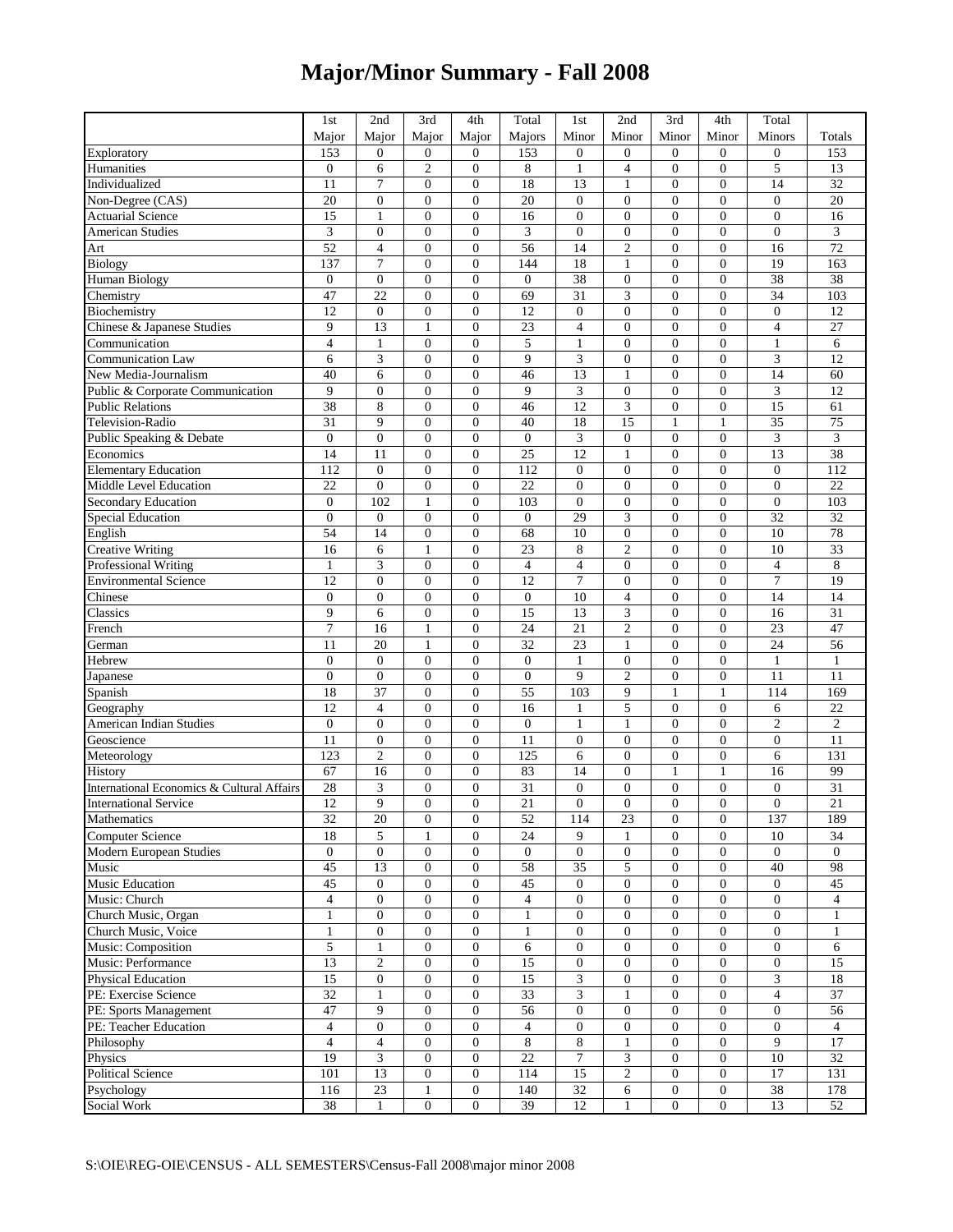## **Major/Minor Summary - Fall 2008**

|                                            | 1st             | 2nd                    | 3rd              | 4th              | Total                  | 1 <sub>st</sub>  | 2nd                     | 3rd              | 4th              | Total            |                 |
|--------------------------------------------|-----------------|------------------------|------------------|------------------|------------------------|------------------|-------------------------|------------------|------------------|------------------|-----------------|
|                                            | Major           | Major                  | Major            | Major            | Majors                 | Minor            | Minor                   | Minor            | Minor            | Minors           | Totals          |
| Exploratory                                | 153             | $\overline{0}$         | $\boldsymbol{0}$ | $\overline{0}$   | 153                    | $\overline{0}$   | $\boldsymbol{0}$        | $\boldsymbol{0}$ | $\overline{0}$   | $\boldsymbol{0}$ | 153             |
| Humanities                                 | $\mathbf{0}$    | 6                      | $\overline{c}$   | $\boldsymbol{0}$ | 8                      | $\mathbf{1}$     | 4                       | $\boldsymbol{0}$ | $\overline{0}$   | $\sqrt{5}$       | 13              |
| Individualized                             | 11              | $\overline{7}$         | $\overline{0}$   | $\overline{0}$   | 18                     | 13               | $\mathbf{1}$            | $\mathbf{0}$     | $\overline{0}$   | 14               | 32              |
| Non-Degree (CAS)                           | 20              | $\mathbf{0}$           | $\overline{0}$   | $\overline{0}$   | 20                     | $\overline{0}$   | $\overline{0}$          | $\overline{0}$   | $\overline{0}$   | $\overline{0}$   | 20              |
| <b>Actuarial Science</b>                   | 15              | $\mathbf{1}$           | $\boldsymbol{0}$ | $\overline{0}$   | 16                     | $\overline{0}$   | $\boldsymbol{0}$        | $\boldsymbol{0}$ | $\overline{0}$   | $\boldsymbol{0}$ | 16              |
| <b>American Studies</b>                    | 3               | $\mathbf{0}$           | $\overline{0}$   | $\overline{0}$   | 3                      | $\mathbf{0}$     | $\boldsymbol{0}$        | $\overline{0}$   | $\overline{0}$   | $\boldsymbol{0}$ | 3               |
|                                            | 52              | $\overline{4}$         | $\overline{0}$   | $\overline{0}$   | 56                     | 14               | $\overline{2}$          | $\mathbf{0}$     | $\overline{0}$   | 16               | $\overline{72}$ |
| Art                                        | 137             | $\tau$                 | $\overline{0}$   | $\overline{0}$   | 144                    | 18               | $\mathbf{1}$            | $\boldsymbol{0}$ | $\overline{0}$   | 19               | 163             |
| <b>Biology</b>                             | $\mathbf{0}$    | $\mathbf{0}$           | $\overline{0}$   | $\overline{0}$   |                        | 38               |                         | $\boldsymbol{0}$ | $\overline{0}$   | 38               | 38              |
| Human Biology                              | 47              | 22                     |                  | $\boldsymbol{0}$ | $\boldsymbol{0}$<br>69 | $\overline{31}$  | $\boldsymbol{0}$<br>3   | $\boldsymbol{0}$ | $\overline{0}$   | 34               | 103             |
| Chemistry                                  | 12              |                        | $\boldsymbol{0}$ | $\overline{0}$   |                        | $\overline{0}$   |                         | $\mathbf{0}$     | $\overline{0}$   |                  |                 |
| Biochemistry                               | 9               | $\boldsymbol{0}$<br>13 | $\boldsymbol{0}$ | $\overline{0}$   | 12                     | $\overline{4}$   | $\boldsymbol{0}$        | $\mathbf{0}$     | $\overline{0}$   | $\boldsymbol{0}$ | 12<br>27        |
| Chinese & Japanese Studies                 |                 |                        | 1                |                  | 23                     |                  | $\overline{0}$          |                  |                  | $\overline{4}$   |                 |
| Communication                              | $\overline{4}$  | $\mathbf{1}$           | $\overline{0}$   | $\overline{0}$   | 5                      | $\mathbf{1}$     | $\overline{0}$          | $\overline{0}$   | $\overline{0}$   | $\mathbf{1}$     | 6               |
| Communication Law                          | 6               | 3                      | $\overline{0}$   | $\overline{0}$   | 9                      | 3                | $\boldsymbol{0}$        | $\boldsymbol{0}$ | $\overline{0}$   | 3                | $\overline{12}$ |
| New Media-Journalism                       | 40              | 6                      | $\boldsymbol{0}$ | $\boldsymbol{0}$ | 46                     | 13               | $\mathbf{1}$            | $\boldsymbol{0}$ | $\overline{0}$   | 14               | 60              |
| Public & Corporate Communication           | 9               | $\mathbf{0}$           | $\overline{0}$   | $\overline{0}$   | 9                      | 3                | $\boldsymbol{0}$        | $\boldsymbol{0}$ | $\overline{0}$   | $\mathfrak{Z}$   | 12              |
| <b>Public Relations</b>                    | 38              | 8                      | $\overline{0}$   | $\overline{0}$   | 46                     | $\overline{12}$  | 3                       | $\overline{0}$   | $\overline{0}$   | $\overline{15}$  | $\overline{61}$ |
| Television-Radio                           | 31              | 9                      | $\overline{0}$   | $\overline{0}$   | 40                     | 18               | $\overline{15}$         | $\mathbf{1}$     | $\mathbf{1}$     | 35               | $\overline{75}$ |
| Public Speaking & Debate                   | $\mathbf{0}$    | $\boldsymbol{0}$       | $\overline{0}$   | $\overline{0}$   | $\boldsymbol{0}$       | 3                | $\boldsymbol{0}$        | $\boldsymbol{0}$ | $\overline{0}$   | $\mathfrak{Z}$   | 3               |
| Economics                                  | 14              | 11                     | $\boldsymbol{0}$ | $\boldsymbol{0}$ | $\overline{25}$        | $\overline{12}$  | $\mathbf{1}$            | $\boldsymbol{0}$ | $\overline{0}$   | $\overline{13}$  | $\overline{38}$ |
| <b>Elementary Education</b>                | 112             | $\boldsymbol{0}$       | $\overline{0}$   | $\overline{0}$   | 112                    | $\mathbf{0}$     | $\boldsymbol{0}$        | $\boldsymbol{0}$ | $\overline{0}$   | $\boldsymbol{0}$ | 112             |
| Middle Level Education                     | 22              | $\mathbf{0}$           | $\overline{0}$   | $\overline{0}$   | 22                     | $\overline{0}$   | $\boldsymbol{0}$        | $\boldsymbol{0}$ | $\overline{0}$   | $\boldsymbol{0}$ | 22              |
| Secondary Education                        | $\overline{0}$  | 102                    | $\mathbf{1}$     | $\overline{0}$   | 103                    | $\mathbf{0}$     | $\boldsymbol{0}$        | $\mathbf{0}$     | $\overline{0}$   | $\boldsymbol{0}$ | 103             |
| <b>Special Education</b>                   | $\overline{0}$  | $\boldsymbol{0}$       | $\overline{0}$   | $\overline{0}$   | $\boldsymbol{0}$       | 29               | 3                       | $\overline{0}$   | $\overline{0}$   | 32               | 32              |
| English                                    | 54              | 14                     | $\boldsymbol{0}$ | $\boldsymbol{0}$ | 68                     | 10               | $\boldsymbol{0}$        | $\boldsymbol{0}$ | $\overline{0}$   | 10               | 78              |
| <b>Creative Writing</b>                    | 16              | 6                      | $\mathbf{1}$     | $\overline{0}$   | 23                     | 8                | $\overline{2}$          | $\mathbf{0}$     | $\overline{0}$   | 10               | 33              |
| Professional Writing                       | $\mathbf{1}$    | 3                      | $\overline{0}$   | $\overline{0}$   | $\overline{4}$         | $\overline{4}$   | $\overline{0}$          | $\overline{0}$   | $\overline{0}$   | $\overline{4}$   | $\overline{8}$  |
| <b>Environmental Science</b>               | 12              | $\boldsymbol{0}$       | $\overline{0}$   | $\overline{0}$   | 12                     | $\tau$           | $\boldsymbol{0}$        | $\boldsymbol{0}$ | $\overline{0}$   | $\boldsymbol{7}$ | 19              |
| Chinese                                    | $\overline{0}$  | $\mathbf{0}$           | $\overline{0}$   | $\overline{0}$   | $\boldsymbol{0}$       | 10               | 4                       | $\boldsymbol{0}$ | $\overline{0}$   | 14               | 14              |
| Classics                                   | 9               | 6                      | $\boldsymbol{0}$ | $\boldsymbol{0}$ | 15                     | 13               | $\overline{\mathbf{3}}$ | $\boldsymbol{0}$ | $\overline{0}$   | 16               | $\overline{31}$ |
| French                                     | $\overline{7}$  | 16                     | $\mathbf{1}$     | $\overline{0}$   | 24                     | $\overline{21}$  | $\overline{c}$          | $\mathbf{0}$     | $\overline{0}$   | 23               | 47              |
| German                                     | 11              | 20                     | 1                | $\mathbf{0}$     | 32                     | 23               | 1                       | $\mathbf{0}$     | $\overline{0}$   | 24               | 56              |
| Hebrew                                     | $\mathbf{0}$    | $\boldsymbol{0}$       | $\overline{0}$   | $\overline{0}$   | $\overline{0}$         | $\mathbf{1}$     | $\overline{0}$          | $\overline{0}$   | $\overline{0}$   | $\mathbf{1}$     | $\mathbf{1}$    |
| Japanese                                   | $\overline{0}$  | $\boldsymbol{0}$       | $\overline{0}$   | $\overline{0}$   | $\boldsymbol{0}$       | 9                | $\overline{c}$          | $\boldsymbol{0}$ | $\overline{0}$   | 11               | 11              |
| Spanish                                    | 18              | $\overline{37}$        | $\boldsymbol{0}$ | $\boldsymbol{0}$ | $\overline{55}$        | 103              | 9                       | $\mathbf{1}$     | $\mathbf{1}$     | 114              | 169             |
| Geography                                  | 12              | $\overline{4}$         | $\boldsymbol{0}$ | $\overline{0}$   | 16                     | $\mathbf{1}$     | 5                       | $\boldsymbol{0}$ | $\overline{0}$   | 6                | 22              |
| <b>American Indian Studies</b>             | $\theta$        | $\mathbf{0}$           | $\overline{0}$   | $\overline{0}$   | $\boldsymbol{0}$       | $\mathbf{1}$     | $\mathbf{1}$            | $\overline{0}$   | $\overline{0}$   | $\sqrt{2}$       | $\overline{c}$  |
| Geoscience                                 | 11              | $\boldsymbol{0}$       | $\boldsymbol{0}$ | $\boldsymbol{0}$ | 11                     | $\overline{0}$   | $\boldsymbol{0}$        | $\boldsymbol{0}$ | $\overline{0}$   | $\boldsymbol{0}$ | 11              |
| Meteorology                                | 123             | $\overline{2}$         | $\overline{0}$   | $\overline{0}$   | 125                    | 6                | $\boldsymbol{0}$        | $\boldsymbol{0}$ | $\boldsymbol{0}$ | 6                | 131             |
| History                                    | 67              | 16                     | $\boldsymbol{0}$ | $\boldsymbol{0}$ | 83                     | 14               | $\boldsymbol{0}$        | $\mathbf{1}$     | $\mathbf{1}$     | 16               | 99              |
| International Economics & Cultural Affairs | 28              | 3                      | $\boldsymbol{0}$ | $\boldsymbol{0}$ | $\overline{31}$        | $\overline{0}$   | $\boldsymbol{0}$        | $\boldsymbol{0}$ | $\overline{0}$   | $\boldsymbol{0}$ | 31              |
| <b>International Service</b>               | 12              | $\mathbf{Q}$           | $\Omega$         | $\overline{0}$   | 21                     | $\theta$         | $\overline{0}$          | $\overline{0}$   | $\overline{0}$   | $\overline{0}$   | 21              |
| Mathematics                                | 32              | 20                     | $\boldsymbol{0}$ | $\overline{0}$   | 52                     | 114              | 23                      | $\overline{0}$   | $\boldsymbol{0}$ | 137              | 189             |
| <b>Computer Science</b>                    | 18              | 5                      | $\mathbf{1}$     | $\overline{0}$   | 24                     | 9                | $\mathbf{1}$            | $\overline{0}$   | $\overline{0}$   | 10               | 34              |
| Modern European Studies                    | $\mathbf{0}$    | $\mathbf{0}$           | $\boldsymbol{0}$ | $\boldsymbol{0}$ | $\mathbf{0}$           | $\boldsymbol{0}$ | $\mathbf{0}$            | $\boldsymbol{0}$ | $\boldsymbol{0}$ | $\mathbf{0}$     | $\overline{0}$  |
| Music                                      | 45              | 13                     | $\boldsymbol{0}$ | $\boldsymbol{0}$ | 58                     | 35               | 5                       | $\boldsymbol{0}$ | $\boldsymbol{0}$ | 40               | 98              |
| <b>Music Education</b>                     | 45              | $\mathbf{0}$           | $\boldsymbol{0}$ | $\overline{0}$   | 45                     | $\mathbf{0}$     | $\overline{0}$          | $\boldsymbol{0}$ | $\overline{0}$   | $\overline{0}$   | $\overline{45}$ |
| Music: Church                              | $\overline{4}$  | $\mathbf{0}$           | $\boldsymbol{0}$ | $\overline{0}$   | $\overline{4}$         | $\mathbf{0}$     | $\boldsymbol{0}$        | $\boldsymbol{0}$ | $\overline{0}$   | $\mathbf{0}$     | $\overline{4}$  |
| Church Music, Organ                        | $\mathbf{1}$    | $\boldsymbol{0}$       | $\boldsymbol{0}$ | $\overline{0}$   | $\mathbf{1}$           | $\overline{0}$   | $\boldsymbol{0}$        | $\mathbf{0}$     | $\overline{0}$   | $\mathbf{0}$     | $\mathbf{1}$    |
| Church Music, Voice                        | $\mathbf{1}$    | $\mathbf{0}$           | $\overline{0}$   | $\overline{0}$   | $\mathbf{1}$           | $\overline{0}$   | $\overline{0}$          | $\overline{0}$   | $\boldsymbol{0}$ | $\mathbf{0}$     | $\mathbf{1}$    |
| Music: Composition                         | 5               | $\mathbf{1}$           | $\boldsymbol{0}$ | $\boldsymbol{0}$ | 6                      | $\overline{0}$   | $\boldsymbol{0}$        | $\boldsymbol{0}$ | $\overline{0}$   | $\boldsymbol{0}$ | 6               |
| Music: Performance                         | $\overline{13}$ | $\overline{c}$         | $\boldsymbol{0}$ | $\boldsymbol{0}$ | $\overline{15}$        | $\boldsymbol{0}$ | $\boldsymbol{0}$        | $\boldsymbol{0}$ | $\overline{0}$   | $\boldsymbol{0}$ | $\overline{15}$ |
| Physical Education                         | $\overline{15}$ | $\mathbf{0}$           | $\boldsymbol{0}$ | $\boldsymbol{0}$ | 15                     | 3                | $\overline{0}$          | $\boldsymbol{0}$ | $\boldsymbol{0}$ | $\mathfrak{Z}$   | $\overline{18}$ |
| PE: Exercise Science                       | 32              | $\mathbf{1}$           | $\boldsymbol{0}$ | $\overline{0}$   | 33                     | 3                | 1                       | $\overline{0}$   | $\overline{0}$   | $\overline{4}$   | $\overline{37}$ |
| PE: Sports Management                      | 47              | 9                      | $\boldsymbol{0}$ | $\boldsymbol{0}$ | 56                     | $\overline{0}$   | $\boldsymbol{0}$        | $\boldsymbol{0}$ | $\boldsymbol{0}$ | $\mathbf{0}$     | $\overline{56}$ |
| PE: Teacher Education                      | $\overline{4}$  | $\mathbf{0}$           | $\boldsymbol{0}$ | $\overline{0}$   | 4                      | $\boldsymbol{0}$ | $\boldsymbol{0}$        | $\boldsymbol{0}$ | $\boldsymbol{0}$ | $\boldsymbol{0}$ | 4               |
| Philosophy                                 | $\overline{4}$  | $\overline{4}$         | $\boldsymbol{0}$ | $\overline{0}$   | 8                      | 8                | $\mathbf{1}$            | $\boldsymbol{0}$ | $\overline{0}$   | 9                | $\overline{17}$ |
| Physics                                    | 19              | $\mathfrak{Z}$         | $\boldsymbol{0}$ | $\boldsymbol{0}$ | 22                     | $\tau$           | 3                       | $\boldsymbol{0}$ | $\boldsymbol{0}$ | 10               | $\overline{32}$ |
| Political Science                          | 101             | 13                     | $\boldsymbol{0}$ | $\overline{0}$   | 114                    | 15               | $\overline{c}$          | $\mathbf{0}$     | $\overline{0}$   | 17               | 131             |
| Psychology                                 | 116             | $23$                   | 1                | $\boldsymbol{0}$ | 140                    | $\overline{32}$  | 6                       | $\boldsymbol{0}$ | $\boldsymbol{0}$ | 38               | 178             |
| Social Work                                | $38\,$          | $\mathbf{1}$           | $\boldsymbol{0}$ | $\mathbf{0}$     | 39                     | $\overline{12}$  | $\mathbf{1}$            | $\boldsymbol{0}$ | $\boldsymbol{0}$ | 13               | 52              |